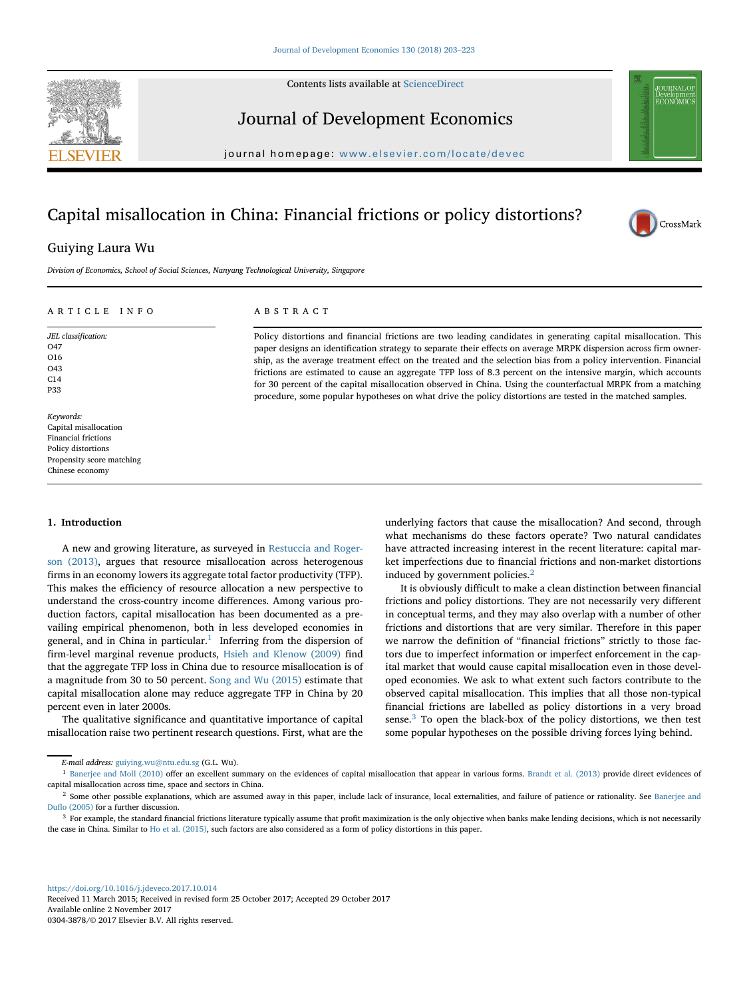Contents lists available at [ScienceDirect](http://www.sciencedirect.com/science/journal/)



Journal of Development Economics

journal homepage: [www.elsevier.com/locate/devec](http://www.elsevier.com/locate/devec)

# Capital misallocation in China: Financial frictions or policy distortions?



# Guiying Laura Wu

*Division of Economics, School of Social Sciences, Nanyang Technological University, Singapore*

# ARTICLE INFO

*JEL classification:* O47 O16 O43 C14 P33

ABSTRACT

Policy distortions and financial frictions are two leading candidates in generating capital misallocation. This paper designs an identification strategy to separate their effects on average MRPK dispersion across firm ownership, as the average treatment effect on the treated and the selection bias from a policy intervention. Financial frictions are estimated to cause an aggregate TFP loss of 8.3 percent on the intensive margin, which accounts for 30 percent of the capital misallocation observed in China. Using the counterfactual MRPK from a matching procedure, some popular hypotheses on what drive the policy distortions are tested in the matched samples.

*Keywords:* Capital misallocation Financial frictions Policy distortions Propensity score matching Chinese economy

#### **1. Introduction**

A new and growing literature, as surveyed in Restuccia and Roger[son \(2013\), argues that resource misallocation across heterogenous](#page-20-0) firms in an economy lowers its aggregate total factor productivity (TFP). This makes the efficiency of resource allocation a new perspective to understand the cross-country income differences. Among various production factors, capital misallocation has been documented as a prevailing empirical phenomenon, both in less developed economies in general, and in China in particular.<sup>[1](#page-0-0)</sup> Inferring from the dispersion of firm-level marginal revenue products, [Hsieh and Klenow \(2009\)](#page-20-1) find that the aggregate TFP loss in China due to resource misallocation is of a magnitude from 30 to 50 percent. [Song and Wu \(2015\)](#page-20-2) estimate that capital misallocation alone may reduce aggregate TFP in China by 20 percent even in later 2000s.

The qualitative significance and quantitative importance of capital misallocation raise two pertinent research questions. First, what are the

underlying factors that cause the misallocation? And second, through what mechanisms do these factors operate? Two natural candidates have attracted increasing interest in the recent literature: capital market imperfections due to financial frictions and non-market distortions induced by government policies.[2](#page-0-1)

It is obviously difficult to make a clean distinction between financial frictions and policy distortions. They are not necessarily very different in conceptual terms, and they may also overlap with a number of other frictions and distortions that are very similar. Therefore in this paper we narrow the definition of "financial frictions" strictly to those factors due to imperfect information or imperfect enforcement in the capital market that would cause capital misallocation even in those developed economies. We ask to what extent such factors contribute to the observed capital misallocation. This implies that all those non-typical financial frictions are labelled as policy distortions in a very broad sense. $3$  To open the black-box of the policy distortions, we then test some popular hypotheses on the possible driving forces lying behind.

Received 11 March 2015; Received in revised form 25 October 2017; Accepted 29 October 2017 Available online 2 November 2017 0304-3878/© 2017 Elsevier B.V. All rights reserved.

<span id="page-0-0"></span>*E-mail address:* guiying.wu@ntu.edu.sg (G.L. Wu).

<sup>&</sup>lt;sup>1</sup> [Banerjee and Moll \(2010\)](#page-20-3) offer an excellent summary on the evidences of capital misallocation that appear in various forms. [Brandt et al. \(2013\)](#page-20-4) provide direct evidences of capital misallocation across time, space and sectors in China.

<span id="page-0-1"></span><sup>&</sup>lt;sup>2</sup> [Some other possible explanations, which are assumed away in this paper, include lack of insurance, local externalities, and failure of patience or rationality. See](#page-20-5) Banerjee and Duflo (2005) for a further discussion.

<span id="page-0-2"></span><sup>&</sup>lt;sup>3</sup> For example, the standard financial frictions literature typically assume that profit maximization is the only objective when banks make lending decisions, which is not necessarily the case in China. Similar to [Ho et al. \(2015\),](#page-20-6) such factors are also considered as a form of policy distortions in this paper.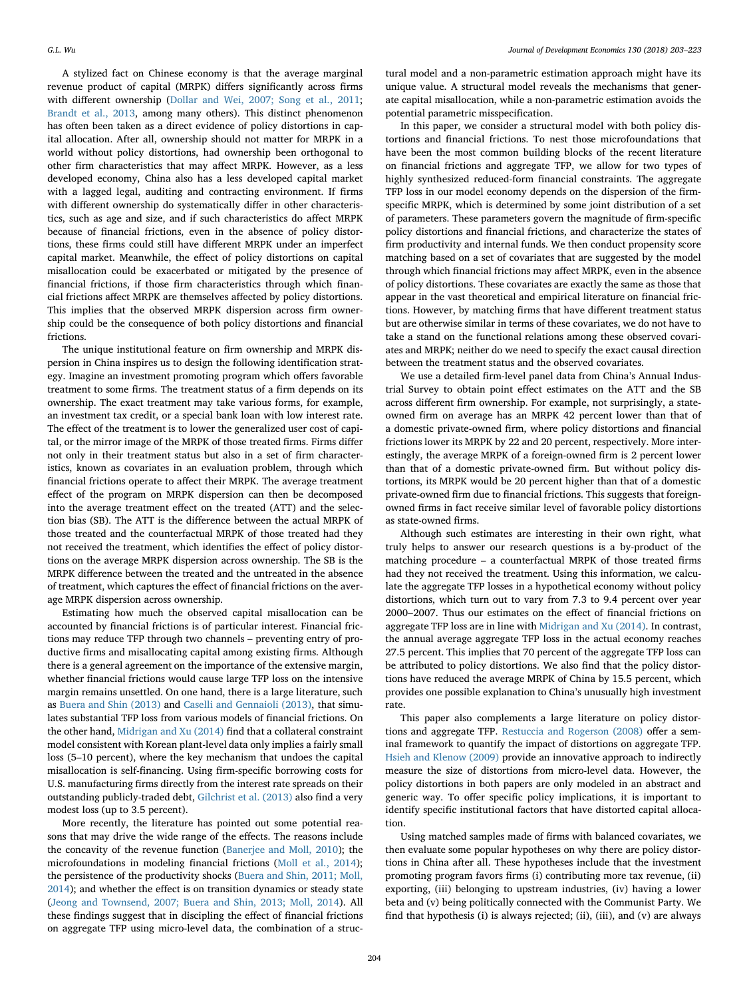A stylized fact on Chinese economy is that the average marginal revenue product of capital (MRPK) differs significantly across firms with different ownership [\(Dollar and Wei, 2007; Song et al., 2011;](#page-20-7) [Brandt et al., 2013,](#page-20-4) among many others). This distinct phenomenon has often been taken as a direct evidence of policy distortions in capital allocation. After all, ownership should not matter for MRPK in a world without policy distortions, had ownership been orthogonal to other firm characteristics that may affect MRPK. However, as a less developed economy, China also has a less developed capital market with a lagged legal, auditing and contracting environment. If firms with different ownership do systematically differ in other characteristics, such as age and size, and if such characteristics do affect MRPK because of financial frictions, even in the absence of policy distortions, these firms could still have different MRPK under an imperfect capital market. Meanwhile, the effect of policy distortions on capital misallocation could be exacerbated or mitigated by the presence of financial frictions, if those firm characteristics through which financial frictions affect MRPK are themselves affected by policy distortions. This implies that the observed MRPK dispersion across firm ownership could be the consequence of both policy distortions and financial frictions.

The unique institutional feature on firm ownership and MRPK dispersion in China inspires us to design the following identification strategy. Imagine an investment promoting program which offers favorable treatment to some firms. The treatment status of a firm depends on its ownership. The exact treatment may take various forms, for example, an investment tax credit, or a special bank loan with low interest rate. The effect of the treatment is to lower the generalized user cost of capital, or the mirror image of the MRPK of those treated firms. Firms differ not only in their treatment status but also in a set of firm characteristics, known as covariates in an evaluation problem, through which financial frictions operate to affect their MRPK. The average treatment effect of the program on MRPK dispersion can then be decomposed into the average treatment effect on the treated (ATT) and the selection bias (SB). The ATT is the difference between the actual MRPK of those treated and the counterfactual MRPK of those treated had they not received the treatment, which identifies the effect of policy distortions on the average MRPK dispersion across ownership. The SB is the MRPK difference between the treated and the untreated in the absence of treatment, which captures the effect of financial frictions on the average MRPK dispersion across ownership.

Estimating how much the observed capital misallocation can be accounted by financial frictions is of particular interest. Financial frictions may reduce TFP through two channels – preventing entry of productive firms and misallocating capital among existing firms. Although there is a general agreement on the importance of the extensive margin, whether financial frictions would cause large TFP loss on the intensive margin remains unsettled. On one hand, there is a large literature, such as [Buera and Shin \(2013\)](#page-20-8) and [Caselli and Gennaioli \(2013\),](#page-20-9) that simulates substantial TFP loss from various models of financial frictions. On the other hand, [Midrigan and Xu \(2014\)](#page-20-10) find that a collateral constraint model consistent with Korean plant-level data only implies a fairly small loss (5–10 percent), where the key mechanism that undoes the capital misallocation is self-financing. Using firm-specific borrowing costs for U.S. manufacturing firms directly from the interest rate spreads on their outstanding publicly-traded debt, [Gilchrist et al. \(2013\)](#page-20-11) also find a very modest loss (up to 3.5 percent).

More recently, the literature has pointed out some potential reasons that may drive the wide range of the effects. The reasons include the concavity of the revenue function [\(Banerjee and Moll, 2010\)](#page-20-3); the microfoundations in modeling financial frictions [\(Moll et al., 2014\)](#page-20-12); the persistence of the productivity shocks (Buera and Shin, 2011; Moll, [2014\); and whether the effect is on transition dynamics or steady state](#page-20-13) [\(Jeong and Townsend, 2007; Buera and Shin, 2013; Moll, 2014\)](#page-20-14). All these findings suggest that in discipling the effect of financial frictions on aggregate TFP using micro-level data, the combination of a structural model and a non-parametric estimation approach might have its unique value. A structural model reveals the mechanisms that generate capital misallocation, while a non-parametric estimation avoids the potential parametric misspecification.

In this paper, we consider a structural model with both policy distortions and financial frictions. To nest those microfoundations that have been the most common building blocks of the recent literature on financial frictions and aggregate TFP, we allow for two types of highly synthesized reduced-form financial constraints. The aggregate TFP loss in our model economy depends on the dispersion of the firmspecific MRPK, which is determined by some joint distribution of a set of parameters. These parameters govern the magnitude of firm-specific policy distortions and financial frictions, and characterize the states of firm productivity and internal funds. We then conduct propensity score matching based on a set of covariates that are suggested by the model through which financial frictions may affect MRPK, even in the absence of policy distortions. These covariates are exactly the same as those that appear in the vast theoretical and empirical literature on financial frictions. However, by matching firms that have different treatment status but are otherwise similar in terms of these covariates, we do not have to take a stand on the functional relations among these observed covariates and MRPK; neither do we need to specify the exact causal direction between the treatment status and the observed covariates.

We use a detailed firm-level panel data from China's Annual Industrial Survey to obtain point effect estimates on the ATT and the SB across different firm ownership. For example, not surprisingly, a stateowned firm on average has an MRPK 42 percent lower than that of a domestic private-owned firm, where policy distortions and financial frictions lower its MRPK by 22 and 20 percent, respectively. More interestingly, the average MRPK of a foreign-owned firm is 2 percent lower than that of a domestic private-owned firm. But without policy distortions, its MRPK would be 20 percent higher than that of a domestic private-owned firm due to financial frictions. This suggests that foreignowned firms in fact receive similar level of favorable policy distortions as state-owned firms.

Although such estimates are interesting in their own right, what truly helps to answer our research questions is a by-product of the matching procedure – a counterfactual MRPK of those treated firms had they not received the treatment. Using this information, we calculate the aggregate TFP losses in a hypothetical economy without policy distortions, which turn out to vary from 7.3 to 9.4 percent over year 2000–2007. Thus our estimates on the effect of financial frictions on aggregate TFP loss are in line with [Midrigan and Xu \(2014\).](#page-20-10) In contrast, the annual average aggregate TFP loss in the actual economy reaches 27.5 percent. This implies that 70 percent of the aggregate TFP loss can be attributed to policy distortions. We also find that the policy distortions have reduced the average MRPK of China by 15.5 percent, which provides one possible explanation to China's unusually high investment rate.

This paper also complements a large literature on policy distortions and aggregate TFP. [Restuccia and Rogerson \(2008\)](#page-20-15) offer a seminal framework to quantify the impact of distortions on aggregate TFP. [Hsieh and Klenow \(2009\)](#page-20-1) provide an innovative approach to indirectly measure the size of distortions from micro-level data. However, the policy distortions in both papers are only modeled in an abstract and generic way. To offer specific policy implications, it is important to identify specific institutional factors that have distorted capital allocation.

Using matched samples made of firms with balanced covariates, we then evaluate some popular hypotheses on why there are policy distortions in China after all. These hypotheses include that the investment promoting program favors firms (i) contributing more tax revenue, (ii) exporting, (iii) belonging to upstream industries, (iv) having a lower beta and (v) being politically connected with the Communist Party. We find that hypothesis (i) is always rejected; (ii), (iii), and (v) are always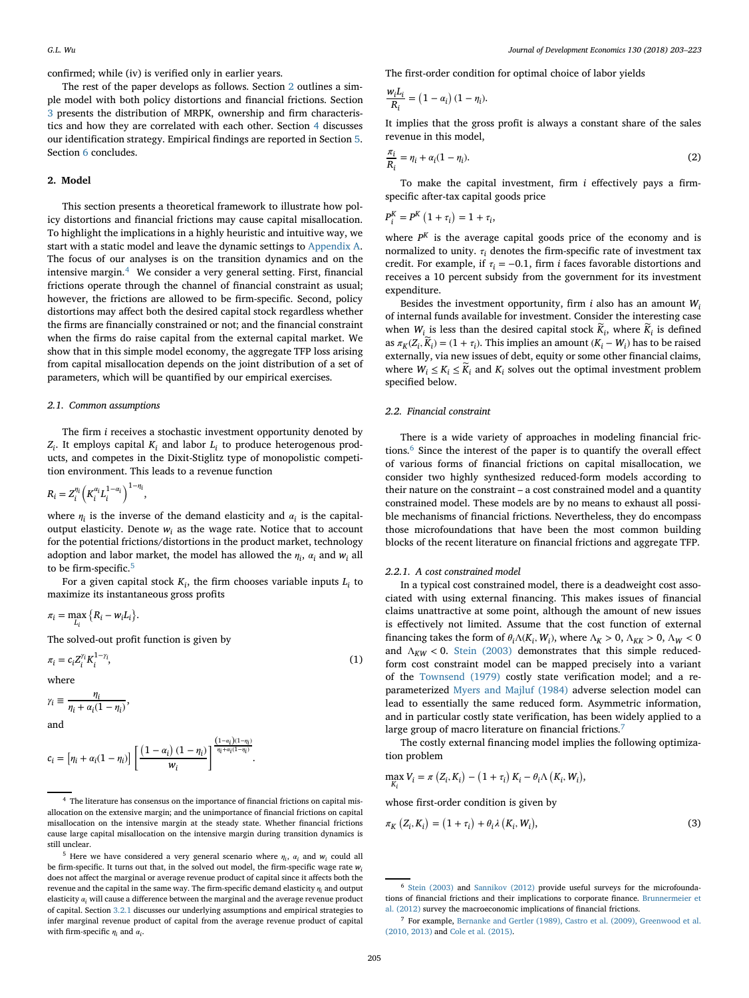confirmed; while (iv) is verified only in earlier years.

The rest of the paper develops as follows. Section [2](#page-2-0) outlines a simple model with both policy distortions and financial frictions. Section [3](#page-3-0) presents the distribution of MRPK, ownership and firm characteristics and how they are correlated with each other. Section [4](#page-6-0) discusses our identification strategy. Empirical findings are reported in Section [5.](#page-8-0) Section [6](#page-12-0) concludes.

#### <span id="page-2-0"></span>**2. Model**

This section presents a theoretical framework to illustrate how policy distortions and financial frictions may cause capital misallocation. To highlight the implications in a highly heuristic and intuitive way, we start with a static model and leave the dynamic settings to [Appendix A.](#page-13-0) The focus of our analyses is on the transition dynamics and on the intensive margin.<sup>[4](#page-2-1)</sup> We consider a very general setting. First, financial frictions operate through the channel of financial constraint as usual; however, the frictions are allowed to be firm-specific. Second, policy distortions may affect both the desired capital stock regardless whether the firms are financially constrained or not; and the financial constraint when the firms do raise capital from the external capital market. We show that in this simple model economy, the aggregate TFP loss arising from capital misallocation depends on the joint distribution of a set of parameters, which will be quantified by our empirical exercises.

#### *2.1. Common assumptions*

The firm *i* receives a stochastic investment opportunity denoted by *Zi* . It employs capital *Ki* and labor *Li* to produce heterogenous products, and competes in the Dixit-Stiglitz type of monopolistic competition environment. This leads to a revenue function

$$
R_i = Z_i^{\eta_i} \left( K_i^{\alpha_i} L_i^{1-\alpha_i} \right)^{1-\eta_i}
$$

where  $\eta_i$  is the inverse of the demand elasticity and  $\alpha_i$  is the capitaloutput elasticity. Denote  $w_i$  as the wage rate. Notice that to account for the potential frictions/distortions in the product market, technology adoption and labor market, the model has allowed the  $\eta_i$ ,  $\alpha_i$  and  $w_i$  all to be firm-specific.<sup>[5](#page-2-2)</sup>

For a given capital stock  $K_i$ , the firm chooses variable inputs  $L_i$  to maximize its instantaneous gross profits

$$
\pi_i = \max_{L_i} \{ R_i - w_i L_i \}.
$$

The solved-out profit function is given by

,

$$
\pi_i = c_i Z_i^{\gamma_i} K_i^{1-\gamma_i},\tag{1}
$$

where

$$
\gamma_i \equiv \frac{\eta_i}{\eta_i + \alpha_i(1 - \eta_i)},
$$

and

$$
c_i = \left[\eta_i + \alpha_i(1-\eta_i)\right] \left[\frac{\left(1-\alpha_i\right)(1-\eta_i)}{w_i}\right]^{\frac{\left(1-\alpha_i\right)(1-\eta_i)}{\eta_i+\alpha_i(1-\eta_i)}}
$$

.

The first-order condition for optimal choice of labor yields

$$
\frac{w_i L_i}{R_i} = (1 - \alpha_i) (1 - \eta_i).
$$

It implies that the gross profit is always a constant share of the sales revenue in this model,

<span id="page-2-6"></span>
$$
\frac{\pi_i}{R_i} = \eta_i + \alpha_i (1 - \eta_i). \tag{2}
$$

To make the capital investment, firm *i* effectively pays a firmspecific after-tax capital goods price

$$
P_i^K = P^K \left( 1 + \tau_i \right) = 1 + \tau_i,
$$

where *P<sup>K</sup>* is the average capital goods price of the economy and is normalized to unity.  $\tau_i$  denotes the firm-specific rate of investment tax credit. For example, if  $\tau_i = -0.1$ , firm *i* faces favorable distortions and receives a 10 percent subsidy from the government for its investment expenditure.

Besides the investment opportunity, firm *i* also has an amount *Wi* of internal funds available for investment. Consider the interesting case when  $W_i$  is less than the desired capital stock  $\widetilde{K}_i$ , where  $\widetilde{K}_i$  is defined as  $\pi_K(Z_i, \widetilde{K}_i) = (1 + \tau_i)$ . This implies an amount  $(K_i - W_i)$  has to be raised externally, via new issues of debt, equity or some other financial claims, where  $W_i \leq K_i \leq \widetilde{K}_i$  and  $K_i$  solves out the optimal investment problem specified below.

#### *2.2. Financial constraint*

There is a wide variety of approaches in modeling financial frictions.[6](#page-2-3) Since the interest of the paper is to quantify the overall effect of various forms of financial frictions on capital misallocation, we consider two highly synthesized reduced-form models according to their nature on the constraint – a cost constrained model and a quantity constrained model. These models are by no means to exhaust all possible mechanisms of financial frictions. Nevertheless, they do encompass those microfoundations that have been the most common building blocks of the recent literature on financial frictions and aggregate TFP.

#### *2.2.1. A cost constrained model*

In a typical cost constrained model, there is a deadweight cost associated with using external financing. This makes issues of financial claims unattractive at some point, although the amount of new issues is effectively not limited. Assume that the cost function of external financing takes the form of  $\theta_i \Lambda(K_i, W_i)$ , where  $\Lambda_K > 0$ ,  $\Lambda_{KK} > 0$ ,  $\Lambda_W < 0$ and  $\Lambda_{KW}$  < 0. [Stein \(2003\)](#page-20-16) demonstrates that this simple reducedform cost constraint model can be mapped precisely into a variant of the [Townsend \(1979\)](#page-20-17) costly state verification model; and a reparameterized [Myers and Majluf \(1984\)](#page-20-18) adverse selection model can lead to essentially the same reduced form. Asymmetric information, and in particular costly state verification, has been widely applied to a large group of macro literature on financial frictions.<sup>[7](#page-2-4)</sup>

The costly external financing model implies the following optimization problem

$$
\max_{K_i} V_i = \pi \left( Z_i, K_i \right) - \left( 1 + \tau_i \right) K_i - \theta_i \Lambda \left( K_i, W_i \right),
$$

<span id="page-2-5"></span>whose first-order condition is given by

$$
\pi_K\left(Z_i, K_i\right) = \left(1 + \tau_i\right) + \theta_i \lambda\left(K_i, W_i\right),\tag{3}
$$

<span id="page-2-1"></span><sup>4</sup> The literature has consensus on the importance of financial frictions on capital misallocation on the extensive margin; and the unimportance of financial frictions on capital misallocation on the intensive margin at the steady state. Whether financial frictions cause large capital misallocation on the intensive margin during transition dynamics is still unclear.

<span id="page-2-2"></span> $^5$  Here we have considered a very general scenario where  $\eta_i,~\alpha_i$  and  $w_i$  could all be firm-specific. It turns out that, in the solved out model, the firm-specific wage rate *wi* does not affect the marginal or average revenue product of capital since it affects both the revenue and the capital in the same way. The firm-specific demand elasticity  $\eta_i$  and output elasticity  $\alpha$ , will cause a difference between the marginal and the average revenue product of capital. Section [3.2.1](#page-4-0) discusses our underlying assumptions and empirical strategies to infer marginal revenue product of capital from the average revenue product of capital with firm-specific  $\eta_i$  and  $\alpha_i$ .

<span id="page-2-3"></span><sup>6</sup> [Stein \(2003\)](#page-20-16) and [Sannikov \(2012\)](#page-20-19) provide useful surveys for the microfounda[tions of financial frictions and their implications to corporate finance.](#page-20-20) Brunnermeier et al. (2012) survey the macroeconomic implications of financial frictions.

<span id="page-2-4"></span><sup>7</sup> For example, [Bernanke and Gertler \(1989\), Castro et al. \(2009\), Greenwood et al.](#page-20-21) (2010, 2013) and [Cole et al. \(2015\).](#page-20-22)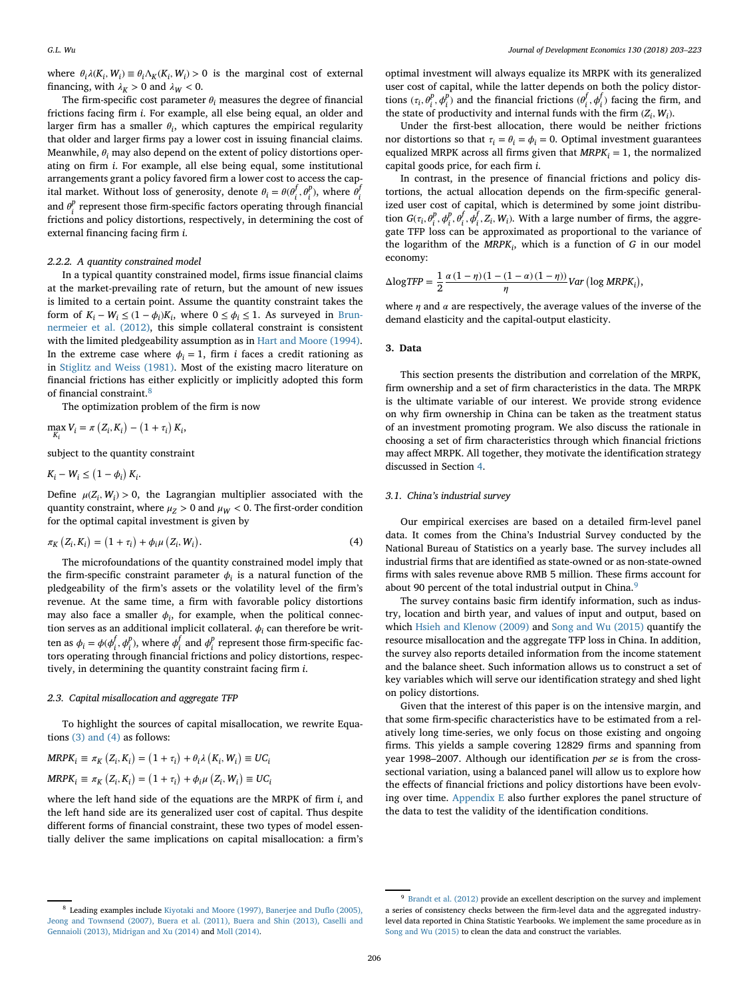where  $\theta_i \lambda(K_i, W_i) \equiv \theta_i \Lambda_K(K_i, W_i) > 0$  is the marginal cost of external financing, with  $\lambda_K > 0$  and  $\lambda_W < 0$ .

The firm-specific cost parameter  $\theta_i$  measures the degree of financial frictions facing firm *i*. For example, all else being equal, an older and larger firm has a smaller  $\theta_i$ , which captures the empirical regularity that older and larger firms pay a lower cost in issuing financial claims. Meanwhile,  $\theta_i$  may also depend on the extent of policy distortions operating on firm *i*. For example, all else being equal, some institutional arrangements grant a policy favored firm a lower cost to access the capital market. Without loss of generosity, denote  $\theta_i = \theta(\theta_i^f, \theta_i^p)$ , where  $\theta_i^f$ and  $\theta_i^p$  represent those firm-specific factors operating through financial frictions and policy distortions, respectively, in determining the cost of external financing facing firm *i*.

#### *2.2.2. A quantity constrained model*

In a typical quantity constrained model, firms issue financial claims at the market-prevailing rate of return, but the amount of new issues is limited to a certain point. Assume the quantity constraint takes the form of  $K_i - W_i \leq (1 - \phi_i)K_i$ , where  $0 \leq \phi_i \leq 1$ . As surveyed in Brun[nermeier et al. \(2012\), this simple collateral constraint is consistent](#page-20-20) with the limited pledgeability assumption as in [Hart and Moore \(1994\).](#page-20-23) In the extreme case where  $\phi_i = 1$ , firm *i* faces a credit rationing as in [Stiglitz and Weiss \(1981\).](#page-20-24) Most of the existing macro literature on financial frictions has either explicitly or implicitly adopted this form of financial constraint.[8](#page-3-1)

The optimization problem of the firm is now

$$
\max_{K_i} V_i = \pi \left( Z_i, K_i \right) - \left( 1 + \tau_i \right) K_i,
$$

subject to the quantity constraint

$$
K_i - W_i \leq (1 - \phi_i) K_i.
$$

Define  $\mu(Z_i, W_i) > 0$ , the Lagrangian multiplier associated with the quantity constraint, where  $\mu_Z > 0$  and  $\mu_W < 0$ . The first-order condition for the optimal capital investment is given by

$$
\pi_K (Z_i, K_i) = (1 + \tau_i) + \phi_i \mu (Z_i, W_i).
$$
\n(4)

The microfoundations of the quantity constrained model imply that the firm-specific constraint parameter  $\phi_i$  is a natural function of the pledgeability of the firm's assets or the volatility level of the firm's revenue. At the same time, a firm with favorable policy distortions may also face a smaller  $\phi_i$ , for example, when the political connection serves as an additional implicit collateral.  $\phi_i$  can therefore be written as  $\phi_i = \phi(\phi_i^f, \phi_i^p)$ , where  $\phi_i^f$  and  $\phi_i^p$  represent those firm-specific factors operating through financial frictions and policy distortions, respectively, in determining the quantity constraint facing firm *i*.

#### *2.3. Capital misallocation and aggregate TFP*

To highlight the sources of capital misallocation, we rewrite Equations [\(3\) and \(4\)](#page-2-5) as follows:

$$
MRPK_i \equiv \pi_K (Z_i, K_i) = (1 + \tau_i) + \theta_i \lambda (K_i, W_i) \equiv UC_i
$$
  

$$
MRPK_i \equiv \pi_K (Z_i, K_i) = (1 + \tau_i) + \phi_i \mu (Z_i, W_i) \equiv UC_i
$$

where the left hand side of the equations are the MRPK of firm *i*, and the left hand side are its generalized user cost of capital. Thus despite different forms of financial constraint, these two types of model essentially deliver the same implications on capital misallocation: a firm's

optimal investment will always equalize its MRPK with its generalized user cost of capital, while the latter depends on both the policy distortions  $(\tau_i, \theta_i^p, \phi_i^p)$  and the financial frictions  $(\theta_i^f, \phi_i^f)$  facing the firm, and the state of productivity and internal funds with the firm  $(Z_i, W_i)$ .

Under the first-best allocation, there would be neither frictions nor distortions so that  $\tau_i = \theta_i = \phi_i = 0$ . Optimal investment guarantees equalized MRPK across all firms given that  $MRPK<sub>i</sub> = 1$ , the normalized capital goods price, for each firm *i*.

In contrast, in the presence of financial frictions and policy distortions, the actual allocation depends on the firm-specific generalized user cost of capital, which is determined by some joint distribution  $G(\tau_i, \theta_i^p, \phi_i^p, \theta_i^f, \phi_i^f, Z_i, W_i)$ . With a large number of firms, the aggregate TFP loss can be approximated as proportional to the variance of the logarithm of the  $MRPK_i$ , which is a function of *G* in our model economy:

$$
\Delta \log TFP = \frac{1}{2} \frac{\alpha (1 - \eta) (1 - (1 - \alpha) (1 - \eta))}{\eta} Var \left( \log MRPK_i \right),
$$

where  $\eta$  and  $\alpha$  are respectively, the average values of the inverse of the demand elasticity and the capital-output elasticity.

#### <span id="page-3-0"></span>**3. Data**

This section presents the distribution and correlation of the MRPK, firm ownership and a set of firm characteristics in the data. The MRPK is the ultimate variable of our interest. We provide strong evidence on why firm ownership in China can be taken as the treatment status of an investment promoting program. We also discuss the rationale in choosing a set of firm characteristics through which financial frictions may affect MRPK. All together, they motivate the identification strategy discussed in Section [4.](#page-6-0)

### *3.1. China's industrial survey*

Our empirical exercises are based on a detailed firm-level panel data. It comes from the China's Industrial Survey conducted by the National Bureau of Statistics on a yearly base. The survey includes all industrial firms that are identified as state-owned or as non-state-owned firms with sales revenue above RMB 5 million. These firms account for about [9](#page-3-2)0 percent of the total industrial output in China.<sup>9</sup>

The survey contains basic firm identify information, such as industry, location and birth year, and values of input and output, based on which [Hsieh and Klenow \(2009\)](#page-20-1) and [Song and Wu \(2015\)](#page-20-2) quantify the resource misallocation and the aggregate TFP loss in China. In addition, the survey also reports detailed information from the income statement and the balance sheet. Such information allows us to construct a set of key variables which will serve our identification strategy and shed light on policy distortions.

Given that the interest of this paper is on the intensive margin, and that some firm-specific characteristics have to be estimated from a relatively long time-series, we only focus on those existing and ongoing firms. This yields a sample covering 12829 firms and spanning from year 1998–2007. Although our identification *per se* is from the crosssectional variation, using a balanced panel will allow us to explore how the effects of financial frictions and policy distortions have been evolving over time. [Appendix E](#page-13-0) also further explores the panel structure of the data to test the validity of the identification conditions.

<span id="page-3-1"></span><sup>8</sup> Leading examples include Kiyotaki and Moore (1997), Banerjee and Duflo (2005), [Jeong and Townsend \(2007\), Buera et al. \(2011\), Buera and Shin \(2013\), Caselli and](#page-20-25) Gennaioli (2013), Midrigan and Xu (2014) and [Moll \(2014\).](#page-20-26)

<span id="page-3-2"></span><sup>&</sup>lt;sup>9</sup> [Brandt et al. \(2012\)](#page-20-27) provide an excellent description on the survey and implement a series of consistency checks between the firm-level data and the aggregated industrylevel data reported in China Statistic Yearbooks. We implement the same procedure as in [Song and Wu \(2015\)](#page-20-2) to clean the data and construct the variables.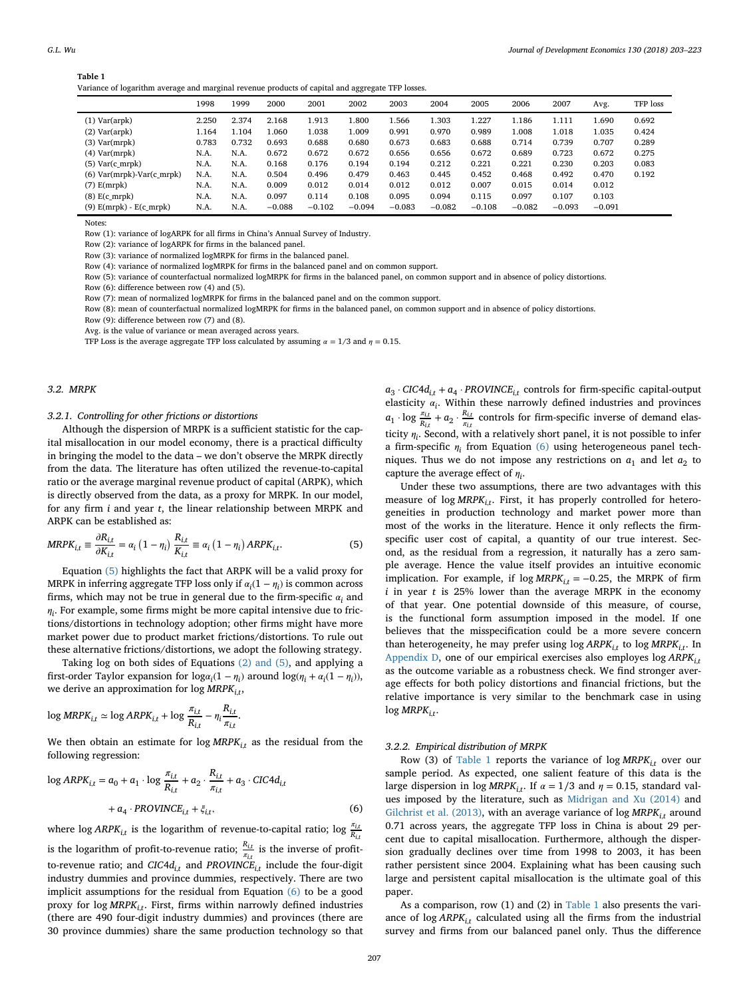| Variance of logarithm average and marginal revenue products of capital and aggregate TFP losses. |  |  |  |
|--------------------------------------------------------------------------------------------------|--|--|--|
|--------------------------------------------------------------------------------------------------|--|--|--|

<span id="page-4-3"></span>

|                             | 1998  | 1999  | 2000     | 2001     | 2002     | 2003     | 2004     | 2005     | 2006     | 2007     | Avg.     | TFP loss |
|-----------------------------|-------|-------|----------|----------|----------|----------|----------|----------|----------|----------|----------|----------|
| $(1)$ Var $(\text{arpk})$   | 2.250 | 2.374 | 2.168    | 1.913    | 1.800    | 1.566    | 1.303    | 1.227    | 1.186    | 1.111    | 1.690    | 0.692    |
| $(2)$ Var $(\text{arpk})$   | 1.164 | 1.104 | 1.060    | 1.038    | 1.009    | 0.991    | 0.970    | 0.989    | 1.008    | 1.018    | 1.035    | 0.424    |
| $(3)$ Var $(mrpk)$          | 0.783 | 0.732 | 0.693    | 0.688    | 0.680    | 0.673    | 0.683    | 0.688    | 0.714    | 0.739    | 0.707    | 0.289    |
| $(4)$ Var $(mrpk)$          | N.A.  | N.A.  | 0.672    | 0.672    | 0.672    | 0.656    | 0.656    | 0.672    | 0.689    | 0.723    | 0.672    | 0.275    |
| $(5)$ Var $(c$ _mrpk $)$    | N.A.  | N.A.  | 0.168    | 0.176    | 0.194    | 0.194    | 0.212    | 0.221    | 0.221    | 0.230    | 0.203    | 0.083    |
| $(6)$ Var(mrpk)-Var(c_mrpk) | N.A.  | N.A.  | 0.504    | 0.496    | 0.479    | 0.463    | 0.445    | 0.452    | 0.468    | 0.492    | 0.470    | 0.192    |
| $(7)$ E(mrpk)               | N.A.  | N.A.  | 0.009    | 0.012    | 0.014    | 0.012    | 0.012    | 0.007    | 0.015    | 0.014    | 0.012    |          |
| $(8)$ E(c_mrpk)             | N.A.  | N.A.  | 0.097    | 0.114    | 0.108    | 0.095    | 0.094    | 0.115    | 0.097    | 0.107    | 0.103    |          |
| $(9)$ E(mrpk) - E(c_mrpk)   | N.A.  | N.A.  | $-0.088$ | $-0.102$ | $-0.094$ | $-0.083$ | $-0.082$ | $-0.108$ | $-0.082$ | $-0.093$ | $-0.091$ |          |

Notes:

Row (1): variance of logARPK for all firms in China's Annual Survey of Industry.

Row (2): variance of logARPK for firms in the balanced panel.

Row (3): variance of normalized logMRPK for firms in the balanced panel.

Row (4): variance of normalized logMRPK for firms in the balanced panel and on common support.

Row (5): variance of counterfactual normalized logMRPK for firms in the balanced panel, on common support and in absence of policy distortions.

Row (6): difference between row (4) and (5).

Row (7): mean of normalized logMRPK for firms in the balanced panel and on the common support.

Row (8): mean of counterfactual normalized logMRPK for firms in the balanced panel, on common support and in absence of policy distortions.

Row (9): difference between row (7) and (8).

Avg. is the value of variance or mean averaged across years.

TFP Loss is the average aggregate TFP loss calculated by assuming  $\alpha = 1/3$  and  $\eta = 0.15$ .

#### *3.2. MRPK*

### <span id="page-4-0"></span>*3.2.1. Controlling for other frictions or distortions*

Although the dispersion of MRPK is a sufficient statistic for the capital misallocation in our model economy, there is a practical difficulty in bringing the model to the data – we don't observe the MRPK directly from the data. The literature has often utilized the revenue-to-capital ratio or the average marginal revenue product of capital (ARPK), which is directly observed from the data, as a proxy for MRPK. In our model, for any firm *i* and year *t*, the linear relationship between MRPK and ARPK can be established as:

<span id="page-4-1"></span>
$$
MRPK_{i,t} \equiv \frac{\partial R_{i,t}}{\partial K_{i,t}} = \alpha_i \left(1 - \eta_i\right) \frac{R_{i,t}}{K_{i,t}} \equiv \alpha_i \left(1 - \eta_i\right) ARPK_{i,t}.
$$
 (5)

Equation [\(5\)](#page-4-1) highlights the fact that ARPK will be a valid proxy for MRPK in inferring aggregate TFP loss only if  $\alpha_i(1 - \eta_i)$  is common across firms, which may not be true in general due to the firm-specific  $\alpha_i$  and  $\eta_i$ . For example, some firms might be more capital intensive due to frictions/distortions in technology adoption; other firms might have more market power due to product market frictions/distortions. To rule out these alternative frictions/distortions, we adopt the following strategy.

Taking log on both sides of Equations [\(2\) and \(5\),](#page-2-6) and applying a first-order Taylor expansion for  $log\alpha_i(1 - \eta_i)$  around  $log(\eta_i + \alpha_i(1 - \eta_i))$ , we derive an approximation for log  $MRPK<sub>i</sub>$ <sup>t</sup>,

$$
\log MRPK_{i,t} \simeq \log ARPK_{i,t} + \log \frac{\pi_{i,t}}{R_{i,t}} - \eta_i \frac{R_{i,t}}{\pi_{i,t}}.
$$

We then obtain an estimate for  $log MRPK_{i,t}$  as the residual from the following regression:

<span id="page-4-2"></span>
$$
\log ARPK_{i,t} = a_0 + a_1 \cdot \log \frac{\pi_{i,t}}{R_{i,t}} + a_2 \cdot \frac{R_{i,t}}{\pi_{i,t}} + a_3 \cdot CIC4d_{i,t}
$$
  
+  $a_4 \cdot PROVINCE_{i,t} + \xi_{i,t}$ , (6)

where  $\log$  *ARPK<sub>i,t</sub>* is the logarithm of revenue-to-capital ratio;  $\log \frac{\pi_{i,\ell}}{R_{i,\ell}}$ 

is the logarithm of profit-to-revenue ratio;  $\frac{R_{i,t}}{n_{i,t}}$  is the inverse of profitto-revenue ratio; and  $CIC4d_{i,t}$  and  $PROVINCE_{i,t}$  include the four-digit industry dummies and province dummies, respectively. There are two implicit assumptions for the residual from Equation [\(6\)](#page-4-2) to be a good proxy for log MRPK<sub>it</sub>. First, firms within narrowly defined industries (there are 490 four-digit industry dummies) and provinces (there are 30 province dummies) share the same production technology so that  $a_3 \cdot CIC4d_{i,t} + a_4 \cdot PROVINCE_{i,t}$  controls for firm-specific capital-output elasticity  $\alpha_i$ . Within these narrowly defined industries and provinces  $a_1 \cdot \log \frac{\pi_{i,t}}{R_{i,t}} + a_2 \cdot \frac{R_{i,t}}{\pi_{i,t}}$  controls for firm-specific inverse of demand elasticity  $\eta_i$ . Second, with a relatively short panel, it is not possible to infer a firm-specific  $\eta_i$  from Equation [\(6\)](#page-4-2) using heterogeneous panel techniques. Thus we do not impose any restrictions on  $a_1$  and let  $a_2$  to capture the average effect of  $\eta_i$ .

Under these two assumptions, there are two advantages with this measure of log  $MRPK_{i,t}$ . First, it has properly controlled for heterogeneities in production technology and market power more than most of the works in the literature. Hence it only reflects the firmspecific user cost of capital, a quantity of our true interest. Second, as the residual from a regression, it naturally has a zero sample average. Hence the value itself provides an intuitive economic implication. For example, if  $log MRPK_{i,t} = -0.25$ , the MRPK of firm *i* in year *t* is 25% lower than the average MRPK in the economy of that year. One potential downside of this measure, of course, is the functional form assumption imposed in the model. If one believes that the misspecification could be a more severe concern than heterogeneity, he may prefer using  $\log ARPK_{i,t}$  to  $\log MRPK_{i,t}$ . In [Appendix D,](#page-13-0) one of our empirical exercises also employes log *ARPKi,<sup>t</sup>* as the outcome variable as a robustness check. We find stronger average effects for both policy distortions and financial frictions, but the relative importance is very similar to the benchmark case in using  $log$  *MRPK<sub>it</sub>*.

#### *3.2.2. Empirical distribution of MRPK*

Row (3) of [Table 1](#page-4-3) reports the variance of log *MRPKi,<sup>t</sup>* over our sample period. As expected, one salient feature of this data is the large dispersion in log  $MRPK_{i,t}$ . If  $\alpha = 1/3$  and  $\eta = 0.15$ , standard values imposed by the literature, such as [Midrigan and Xu \(2014\)](#page-20-10) and [Gilchrist et al. \(2013\),](#page-20-11) with an average variance of log  $MRPK_{i,t}$  around 0.71 across years, the aggregate TFP loss in China is about 29 percent due to capital misallocation. Furthermore, although the dispersion gradually declines over time from 1998 to 2003, it has been rather persistent since 2004. Explaining what has been causing such large and persistent capital misallocation is the ultimate goal of this paper.

As a comparison, row (1) and (2) in [Table 1](#page-4-3) also presents the variance of log *ARPKi,<sup>t</sup>* calculated using all the firms from the industrial survey and firms from our balanced panel only. Thus the difference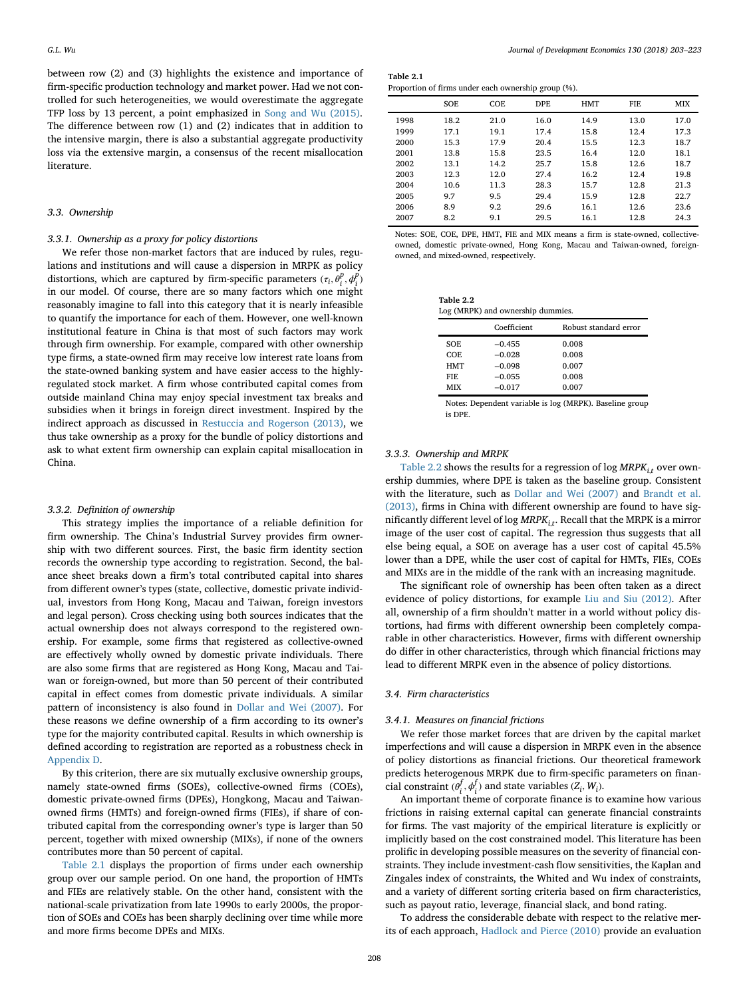between row (2) and (3) highlights the existence and importance of firm-specific production technology and market power. Had we not controlled for such heterogeneities, we would overestimate the aggregate TFP loss by 13 percent, a point emphasized in [Song and Wu \(2015\).](#page-20-2) The difference between row (1) and (2) indicates that in addition to the intensive margin, there is also a substantial aggregate productivity loss via the extensive margin, a consensus of the recent misallocation literature.

### *3.3. Ownership*

# *3.3.1. Ownership as a proxy for policy distortions*

We refer those non-market factors that are induced by rules, regulations and institutions and will cause a dispersion in MRPK as policy distortions, which are captured by firm-specific parameters  $(\tau_i, \theta_i^p, \phi_i^p)$ in our model. Of course, there are so many factors which one might reasonably imagine to fall into this category that it is nearly infeasible to quantify the importance for each of them. However, one well-known institutional feature in China is that most of such factors may work through firm ownership. For example, compared with other ownership type firms, a state-owned firm may receive low interest rate loans from the state-owned banking system and have easier access to the highlyregulated stock market. A firm whose contributed capital comes from outside mainland China may enjoy special investment tax breaks and subsidies when it brings in foreign direct investment. Inspired by the indirect approach as discussed in [Restuccia and Rogerson \(2013\),](#page-20-0) we thus take ownership as a proxy for the bundle of policy distortions and ask to what extent firm ownership can explain capital misallocation in China.

#### *3.3.2. Definition of ownership*

This strategy implies the importance of a reliable definition for firm ownership. The China's Industrial Survey provides firm ownership with two different sources. First, the basic firm identity section records the ownership type according to registration. Second, the balance sheet breaks down a firm's total contributed capital into shares from different owner's types (state, collective, domestic private individual, investors from Hong Kong, Macau and Taiwan, foreign investors and legal person). Cross checking using both sources indicates that the actual ownership does not always correspond to the registered ownership. For example, some firms that registered as collective-owned are effectively wholly owned by domestic private individuals. There are also some firms that are registered as Hong Kong, Macau and Taiwan or foreign-owned, but more than 50 percent of their contributed capital in effect comes from domestic private individuals. A similar pattern of inconsistency is also found in [Dollar and Wei \(2007\).](#page-20-7) For these reasons we define ownership of a firm according to its owner's type for the majority contributed capital. Results in which ownership is defined according to registration are reported as a robustness check in [Appendix D.](#page-13-0)

By this criterion, there are six mutually exclusive ownership groups, namely state-owned firms (SOEs), collective-owned firms (COEs), domestic private-owned firms (DPEs), Hongkong, Macau and Taiwanowned firms (HMTs) and foreign-owned firms (FIEs), if share of contributed capital from the corresponding owner's type is larger than 50 percent, together with mixed ownership (MIXs), if none of the owners contributes more than 50 percent of capital.

[Table 2.1](#page-5-0) displays the proportion of firms under each ownership group over our sample period. On one hand, the proportion of HMTs and FIEs are relatively stable. On the other hand, consistent with the national-scale privatization from late 1990s to early 2000s, the proportion of SOEs and COEs has been sharply declining over time while more and more firms become DPEs and MIXs.

**Table 2.1** Proportion of firms under each ownership group (%).

<span id="page-5-0"></span>

|      | <b>SOE</b> | COE  | DPE. | HMT  | FIE  | <b>MIX</b> |
|------|------------|------|------|------|------|------------|
| 1998 | 18.2       | 21.0 | 16.0 | 14.9 | 13.0 | 17.0       |
| 1999 | 17.1       | 19.1 | 17.4 | 15.8 | 12.4 | 17.3       |
| 2000 | 15.3       | 17.9 | 20.4 | 15.5 | 12.3 | 18.7       |
| 2001 | 13.8       | 15.8 | 23.5 | 16.4 | 12.0 | 18.1       |
| 2002 | 13.1       | 14.2 | 25.7 | 15.8 | 12.6 | 18.7       |
| 2003 | 12.3       | 12.0 | 27.4 | 16.2 | 12.4 | 19.8       |
| 2004 | 10.6       | 11.3 | 28.3 | 15.7 | 12.8 | 21.3       |
| 2005 | 9.7        | 9.5  | 29.4 | 15.9 | 12.8 | 22.7       |
| 2006 | 8.9        | 9.2  | 29.6 | 16.1 | 12.6 | 23.6       |
| 2007 | 8.2        | 9.1  | 29.5 | 16.1 | 12.8 | 24.3       |

Notes: SOE, COE, DPE, HMT, FIE and MIX means a firm is state-owned, collectiveowned, domestic private-owned, Hong Kong, Macau and Taiwan-owned, foreignowned, and mixed-owned, respectively.

**Table 2.2** Log (MRPK) and ownership dummies.

<span id="page-5-1"></span>

|            | Coefficient | Robust standard error |
|------------|-------------|-----------------------|
| SOE.       | $-0.455$    | 0.008                 |
| COE.       | $-0.028$    | 0.008                 |
| <b>HMT</b> | $-0.098$    | 0.007                 |
| FIE.       | $-0.055$    | 0.008                 |
| <b>MIX</b> | $-0.017$    | 0.007                 |

Notes: Dependent variable is log (MRPK). Baseline group is DPE.

#### *3.3.3. Ownership and MRPK*

[Table 2.2](#page-5-1) shows the results for a regression of log  $MRPK_{i,t}$  over ownership dummies, where DPE is taken as the baseline group. Consistent with the literature, such as [Dollar and Wei \(2007\)](#page-20-7) and Brandt et al. [\(2013\), firms in China with different ownership are found to have sig](#page-20-4)nificantly different level of log *MRPKi,t*. Recall that the MRPK is a mirror image of the user cost of capital. The regression thus suggests that all else being equal, a SOE on average has a user cost of capital 45.5% lower than a DPE, while the user cost of capital for HMTs, FIEs, COEs and MIXs are in the middle of the rank with an increasing magnitude.

The significant role of ownership has been often taken as a direct evidence of policy distortions, for example [Liu and Siu \(2012\).](#page-20-28) After all, ownership of a firm shouldn't matter in a world without policy distortions, had firms with different ownership been completely comparable in other characteristics. However, firms with different ownership do differ in other characteristics, through which financial frictions may lead to different MRPK even in the absence of policy distortions.

#### *3.4. Firm characteristics*

#### *3.4.1. Measures on financial frictions*

We refer those market forces that are driven by the capital market imperfections and will cause a dispersion in MRPK even in the absence of policy distortions as financial frictions. Our theoretical framework predicts heterogenous MRPK due to firm-specific parameters on financial constraint  $(\theta_i^f, \phi_i^f)$  and state variables  $(Z_i, W_i)$ .

An important theme of corporate finance is to examine how various frictions in raising external capital can generate financial constraints for firms. The vast majority of the empirical literature is explicitly or implicitly based on the cost constrained model. This literature has been prolific in developing possible measures on the severity of financial constraints. They include investment-cash flow sensitivities, the Kaplan and Zingales index of constraints, the Whited and Wu index of constraints, and a variety of different sorting criteria based on firm characteristics, such as payout ratio, leverage, financial slack, and bond rating.

To address the considerable debate with respect to the relative merits of each approach, [Hadlock and Pierce \(2010\)](#page-20-29) provide an evaluation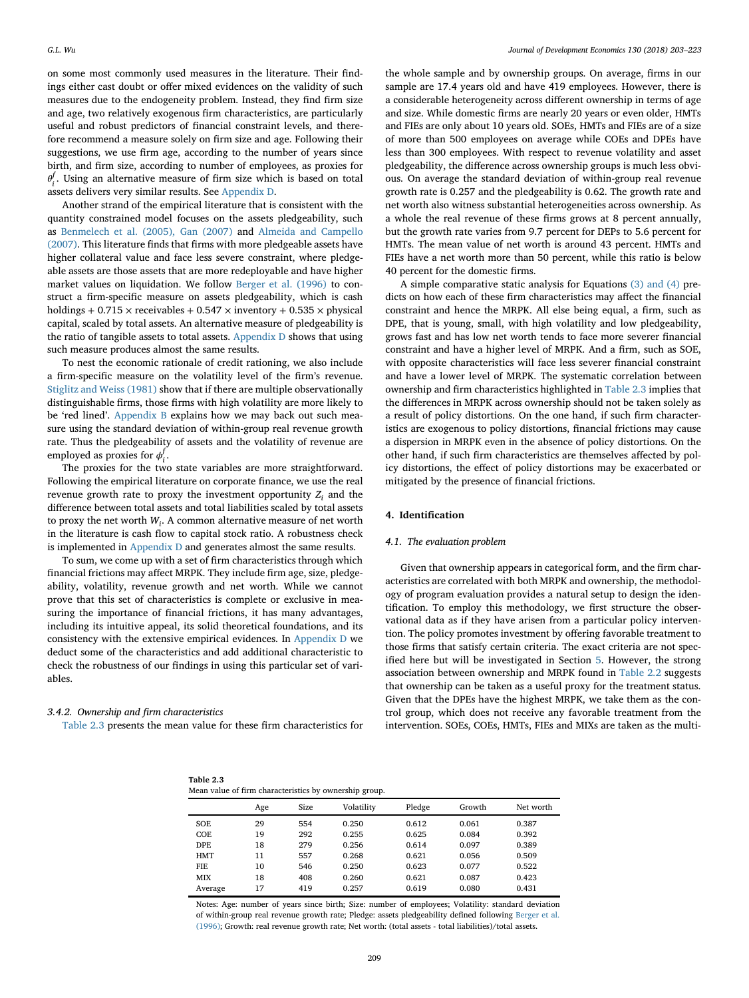on some most commonly used measures in the literature. Their findings either cast doubt or offer mixed evidences on the validity of such measures due to the endogeneity problem. Instead, they find firm size and age, two relatively exogenous firm characteristics, are particularly useful and robust predictors of financial constraint levels, and therefore recommend a measure solely on firm size and age. Following their suggestions, we use firm age, according to the number of years since birth, and firm size, according to number of employees, as proxies for  $\theta_i^f$ . Using an alternative measure of firm size which is based on total assets delivers very similar results. See [Appendix D.](#page-13-0)

Another strand of the empirical literature that is consistent with the quantity constrained model focuses on the assets pledgeability, such as [Benmelech et al. \(2005\), Gan \(2007\)](#page-20-30) and Almeida and Campello [\(2007\). This literature finds that firms with more pledgeable assets have](#page-20-31) higher collateral value and face less severe constraint, where pledgeable assets are those assets that are more redeployable and have higher market values on liquidation. We follow [Berger et al. \(1996\)](#page-20-32) to construct a firm-specific measure on assets pledgeability, which is cash holdings + 0.715  $\times$  receivables + 0.547  $\times$  inventory + 0.535  $\times$  physical capital, scaled by total assets. An alternative measure of pledgeability is the ratio of tangible assets to total assets. [Appendix D](#page-13-0) shows that using such measure produces almost the same results.

To nest the economic rationale of credit rationing, we also include a firm-specific measure on the volatility level of the firm's revenue. [Stiglitz and Weiss \(1981\)](#page-20-24) show that if there are multiple observationally distinguishable firms, those firms with high volatility are more likely to be 'red lined'. [Appendix B](#page-13-0) explains how we may back out such measure using the standard deviation of within-group real revenue growth rate. Thus the pledgeability of assets and the volatility of revenue are employed as proxies for  $\phi_i^f$ .

The proxies for the two state variables are more straightforward. Following the empirical literature on corporate finance, we use the real revenue growth rate to proxy the investment opportunity  $Z_i$  and the difference between total assets and total liabilities scaled by total assets to proxy the net worth *Wi*. A common alternative measure of net worth in the literature is cash flow to capital stock ratio. A robustness check is implemented in [Appendix D](#page-13-0) and generates almost the same results.

To sum, we come up with a set of firm characteristics through which financial frictions may affect MRPK. They include firm age, size, pledgeability, volatility, revenue growth and net worth. While we cannot prove that this set of characteristics is complete or exclusive in measuring the importance of financial frictions, it has many advantages, including its intuitive appeal, its solid theoretical foundations, and its consistency with the extensive empirical evidences. In [Appendix D](#page-13-0) we deduct some of the characteristics and add additional characteristic to check the robustness of our findings in using this particular set of variables.

#### *3.4.2. Ownership and firm characteristics*

[Table 2.3](#page-6-1) presents the mean value for these firm characteristics for

the whole sample and by ownership groups. On average, firms in our sample are 17.4 years old and have 419 employees. However, there is a considerable heterogeneity across different ownership in terms of age and size. While domestic firms are nearly 20 years or even older, HMTs and FIEs are only about 10 years old. SOEs, HMTs and FIEs are of a size of more than 500 employees on average while COEs and DPEs have less than 300 employees. With respect to revenue volatility and asset pledgeability, the difference across ownership groups is much less obvious. On average the standard deviation of within-group real revenue growth rate is 0.257 and the pledgeability is 0.62. The growth rate and net worth also witness substantial heterogeneities across ownership. As a whole the real revenue of these firms grows at 8 percent annually, but the growth rate varies from 9.7 percent for DEPs to 5.6 percent for HMTs. The mean value of net worth is around 43 percent. HMTs and FIEs have a net worth more than 50 percent, while this ratio is below 40 percent for the domestic firms.

A simple comparative static analysis for Equations [\(3\) and \(4\)](#page-2-5) predicts on how each of these firm characteristics may affect the financial constraint and hence the MRPK. All else being equal, a firm, such as DPE, that is young, small, with high volatility and low pledgeability, grows fast and has low net worth tends to face more severer financial constraint and have a higher level of MRPK. And a firm, such as SOE, with opposite characteristics will face less severer financial constraint and have a lower level of MRPK. The systematic correlation between ownership and firm characteristics highlighted in [Table 2.3](#page-6-1) implies that the differences in MRPK across ownership should not be taken solely as a result of policy distortions. On the one hand, if such firm characteristics are exogenous to policy distortions, financial frictions may cause a dispersion in MRPK even in the absence of policy distortions. On the other hand, if such firm characteristics are themselves affected by policy distortions, the effect of policy distortions may be exacerbated or mitigated by the presence of financial frictions.

# <span id="page-6-0"></span>**4. Identification**

#### *4.1. The evaluation problem*

Given that ownership appears in categorical form, and the firm characteristics are correlated with both MRPK and ownership, the methodology of program evaluation provides a natural setup to design the identification. To employ this methodology, we first structure the observational data as if they have arisen from a particular policy intervention. The policy promotes investment by offering favorable treatment to those firms that satisfy certain criteria. The exact criteria are not specified here but will be investigated in Section [5.](#page-8-0) However, the strong association between ownership and MRPK found in [Table 2.2](#page-5-1) suggests that ownership can be taken as a useful proxy for the treatment status. Given that the DPEs have the highest MRPK, we take them as the control group, which does not receive any favorable treatment from the intervention. SOEs, COEs, HMTs, FIEs and MIXs are taken as the multi-

| Table 2.3                                              |  |
|--------------------------------------------------------|--|
| Mean value of firm characteristics by ownership group. |  |

<span id="page-6-1"></span>

|            |     |      | ivieail value of fifth characteristics by ownership group. |        |        |           |
|------------|-----|------|------------------------------------------------------------|--------|--------|-----------|
|            | Age | Size | Volatility                                                 | Pledge | Growth | Net worth |
| SOE        | 29  | 554  | 0.250                                                      | 0.612  | 0.061  | 0.387     |
| COE        | 19  | 292  | 0.255                                                      | 0.625  | 0.084  | 0.392     |
| <b>DPE</b> | 18  | 279  | 0.256                                                      | 0.614  | 0.097  | 0.389     |
| HMT        | 11  | 557  | 0.268                                                      | 0.621  | 0.056  | 0.509     |
| <b>FIE</b> | 10  | 546  | 0.250                                                      | 0.623  | 0.077  | 0.522     |
| MIX        | 18  | 408  | 0.260                                                      | 0.621  | 0.087  | 0.423     |
| Average    | 17  | 419  | 0.257                                                      | 0.619  | 0.080  | 0.431     |
|            |     |      |                                                            |        |        |           |

Notes: Age: number of years since birth; Size: number of employees; Volatility: standard deviation of within-group real revenue growth rate; Pledge: assets pledgeability defined following Berger et al. [\(1996\); Growth: real revenue growth rate; Net worth: \(total assets - total liabilities\)/total assets.](#page-20-32)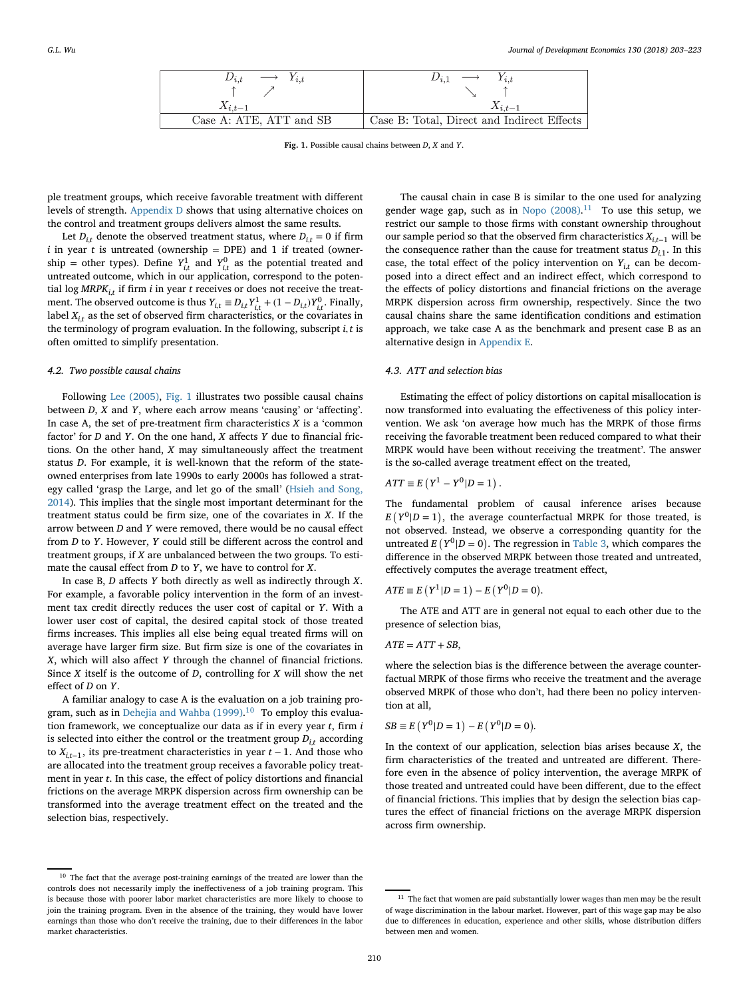| $D_{i,t} \longrightarrow Y_{i,t}$ | $D_{i,1} \longrightarrow$<br>$Y_{i,t}$     |
|-----------------------------------|--------------------------------------------|
|                                   |                                            |
| $X_{i,t-1}$                       | $X_{i,t-1}$                                |
| Case A: ATE, ATT and SB           | Case B: Total, Direct and Indirect Effects |

**Fig. 1.** Possible causal chains between *D*, *X* and *Y*.

ple treatment groups, which receive favorable treatment with different levels of strength. [Appendix D](#page-13-0) shows that using alternative choices on the control and treatment groups delivers almost the same results.

Let  $D_{i}$ <sup>*t*</sup> denote the observed treatment status, where  $D_{i}$ <sup>*t*</sup> = 0 if firm  $i$  in year  $t$  is untreated (ownership = DPE) and 1 if treated (ownership = other types). Define  $Y_{i,t}^1$  and  $Y_{i,t}^0$  as the potential treated and untreated outcome, which in our application, correspond to the potential  $\log MRPK_{i,t}$  if firm *i* in year *t* receives or does not receive the treatment. The observed outcome is thus  $Y_{i,t} \equiv D_{i,t} Y_{i,t}^1 + (1 - D_{i,t}) Y_{i,t}^0$ . Finally, label  $X_i$ , as the set of observed firm characteristics, or the covariates in the terminology of program evaluation. In the following, subscript *i, t* is often omitted to simplify presentation.

#### *4.2. Two possible causal chains*

Following [Lee \(2005\),](#page-20-33) [Fig. 1](#page-7-0) illustrates two possible causal chains between *D*, *X* and *Y*, where each arrow means 'causing' or 'affecting'. In case A, the set of pre-treatment firm characteristics  $X$  is a 'common factor' for *D* and *Y*. On the one hand, *X* affects *Y* due to financial frictions. On the other hand, *X* may simultaneously affect the treatment status *D*. For example, it is well-known that the reform of the stateowned enterprises from late 1990s to early 2000s has followed a strat[egy called 'grasp the Large, and let go of the small' \(Hsieh and Song,](#page-20-34) 2014). This implies that the single most important determinant for the treatment status could be firm size, one of the covariates in *X*. If the arrow between *D* and *Y* were removed, there would be no causal effect from *D* to *Y*. However, *Y* could still be different across the control and treatment groups, if *X* are unbalanced between the two groups. To estimate the causal effect from *D* to *Y*, we have to control for *X*.

In case B, *D* affects *Y* both directly as well as indirectly through *X*. For example, a favorable policy intervention in the form of an investment tax credit directly reduces the user cost of capital or *Y*. With a lower user cost of capital, the desired capital stock of those treated firms increases. This implies all else being equal treated firms will on average have larger firm size. But firm size is one of the covariates in *X*, which will also affect *Y* through the channel of financial frictions. Since *X* itself is the outcome of *D*, controlling for *X* will show the net effect of *D* on *Y*.

A familiar analogy to case A is the evaluation on a job training pro-gram, such as in [Dehejia and Wahba \(1999\).](#page-20-35)<sup>[10](#page-7-1)</sup> To employ this evaluation framework, we conceptualize our data as if in every year *t*, firm *i* is selected into either the control or the treatment group  $D_{i,t}$  according to  $X_{i,t-1}$ , its pre-treatment characteristics in year  $t-1$ . And those who are allocated into the treatment group receives a favorable policy treatment in year *t*. In this case, the effect of policy distortions and financial frictions on the average MRPK dispersion across firm ownership can be transformed into the average treatment effect on the treated and the selection bias, respectively.

<span id="page-7-0"></span>The causal chain in case B is similar to the one used for analyzing gender wage gap, such as in Nopo  $(2008).<sup>11</sup>$  $(2008).<sup>11</sup>$  $(2008).<sup>11</sup>$  To use this setup, we restrict our sample to those firms with constant ownership throughout our sample period so that the observed firm characteristics *Xi,t*−<sup>1</sup> will be the consequence rather than the cause for treatment status  $D_{i,1}$ . In this case, the total effect of the policy intervention on  $Y_{it}$  can be decomposed into a direct effect and an indirect effect, which correspond to the effects of policy distortions and financial frictions on the average MRPK dispersion across firm ownership, respectively. Since the two causal chains share the same identification conditions and estimation approach, we take case A as the benchmark and present case B as an alternative design in [Appendix E.](#page-13-0)

#### *4.3. ATT and selection bias*

Estimating the effect of policy distortions on capital misallocation is now transformed into evaluating the effectiveness of this policy intervention. We ask 'on average how much has the MRPK of those firms receiving the favorable treatment been reduced compared to what their MRPK would have been without receiving the treatment'. The answer is the so-called average treatment effect on the treated,

$$
ATT \equiv E(Y^1 - Y^0 | D = 1).
$$

The fundamental problem of causal inference arises because  $E(Y^0|D=1)$ , the average counterfactual MRPK for those treated, is not observed. Instead, we observe a corresponding quantity for the untreated  $E(Y^0|D = 0)$ . The regression in [Table 3,](#page-8-1) which compares the difference in the observed MRPK between those treated and untreated, effectively computes the average treatment effect,

$$
ATE \equiv E(Y^{1} | D = 1) - E(Y^{0} | D = 0).
$$

The ATE and ATT are in general not equal to each other due to the presence of selection bias,

$$
ATE = ATT + SB,
$$

where the selection bias is the difference between the average counterfactual MRPK of those firms who receive the treatment and the average observed MRPK of those who don't, had there been no policy intervention at all,

$$
SB \equiv E(Y^{0}|D = 1) - E(Y^{0}|D = 0).
$$

In the context of our application, selection bias arises because *X*, the firm characteristics of the treated and untreated are different. Therefore even in the absence of policy intervention, the average MRPK of those treated and untreated could have been different, due to the effect of financial frictions. This implies that by design the selection bias captures the effect of financial frictions on the average MRPK dispersion across firm ownership.

<span id="page-7-1"></span><sup>&</sup>lt;sup>10</sup> The fact that the average post-training earnings of the treated are lower than the controls does not necessarily imply the ineffectiveness of a job training program. This is because those with poorer labor market characteristics are more likely to choose to join the training program. Even in the absence of the training, they would have lower earnings than those who don't receive the training, due to their differences in the labor market characteristics.

<span id="page-7-2"></span> $11$  The fact that women are paid substantially lower wages than men may be the result of wage discrimination in the labour market. However, part of this wage gap may be also due to differences in education, experience and other skills, whose distribution differs between men and women.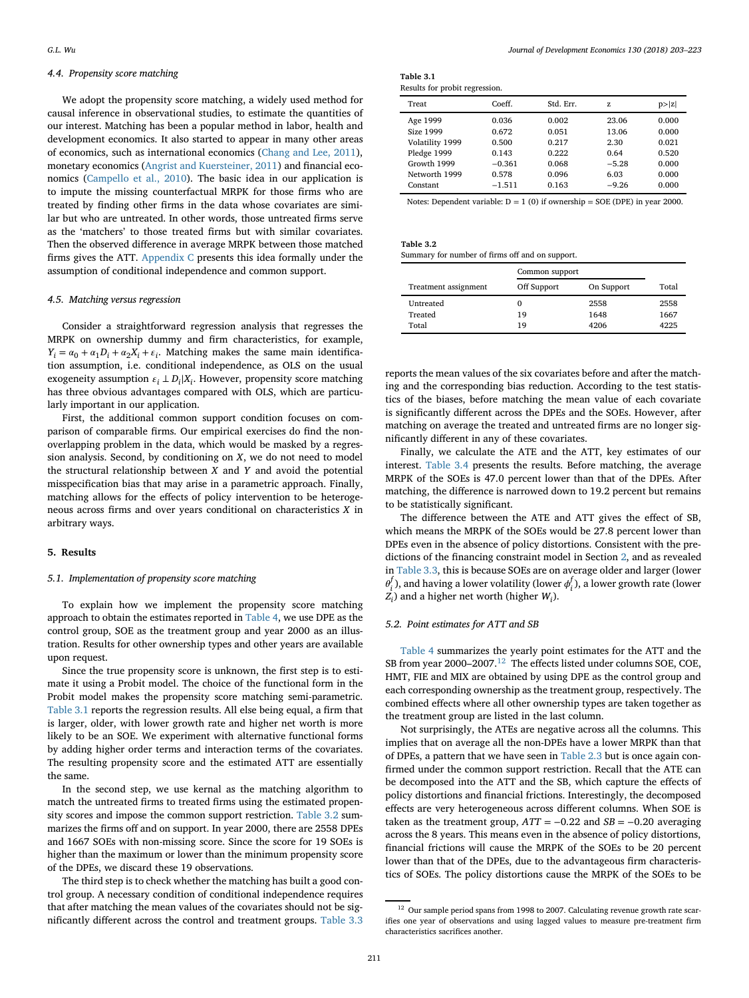#### *4.4. Propensity score matching*

We adopt the propensity score matching, a widely used method for causal inference in observational studies, to estimate the quantities of our interest. Matching has been a popular method in labor, health and development economics. It also started to appear in many other areas of economics, such as international economics [\(Chang and Lee, 2011\)](#page-20-37), monetary economics [\(Angrist and Kuersteiner, 2011\)](#page-20-38) and financial economics [\(Campello et al., 2010\)](#page-20-39). The basic idea in our application is to impute the missing counterfactual MRPK for those firms who are treated by finding other firms in the data whose covariates are similar but who are untreated. In other words, those untreated firms serve as the 'matchers' to those treated firms but with similar covariates. Then the observed difference in average MRPK between those matched firms gives the ATT. [Appendix C](#page-13-0) presents this idea formally under the assumption of conditional independence and common support.

#### *4.5. Matching versus regression*

Consider a straightforward regression analysis that regresses the MRPK on ownership dummy and firm characteristics, for example,  $Y_i = \alpha_0 + \alpha_1 D_i + \alpha_2 X_i + \varepsilon_i$ . Matching makes the same main identification assumption, i.e. conditional independence, as OLS on the usual exogeneity assumption  $\varepsilon_i \perp D_i | X_i$ . However, propensity score matching has three obvious advantages compared with OLS, which are particularly important in our application.

First, the additional common support condition focuses on comparison of comparable firms. Our empirical exercises do find the nonoverlapping problem in the data, which would be masked by a regression analysis. Second, by conditioning on *X*, we do not need to model the structural relationship between *X* and *Y* and avoid the potential misspecification bias that may arise in a parametric approach. Finally, matching allows for the effects of policy intervention to be heterogeneous across firms and over years conditional on characteristics *X* in arbitrary ways.

### <span id="page-8-0"></span>**5. Results**

#### *5.1. Implementation of propensity score matching*

To explain how we implement the propensity score matching approach to obtain the estimates reported in [Table 4,](#page-10-0) we use DPE as the control group, SOE as the treatment group and year 2000 as an illustration. Results for other ownership types and other years are available upon request.

Since the true propensity score is unknown, the first step is to estimate it using a Probit model. The choice of the functional form in the Probit model makes the propensity score matching semi-parametric. [Table 3.1](#page-8-1) reports the regression results. All else being equal, a firm that is larger, older, with lower growth rate and higher net worth is more likely to be an SOE. We experiment with alternative functional forms by adding higher order terms and interaction terms of the covariates. The resulting propensity score and the estimated ATT are essentially the same.

In the second step, we use kernal as the matching algorithm to match the untreated firms to treated firms using the estimated propensity scores and impose the common support restriction. [Table 3.2](#page-8-2) summarizes the firms off and on support. In year 2000, there are 2558 DPEs and 1667 SOEs with non-missing score. Since the score for 19 SOEs is higher than the maximum or lower than the minimum propensity score of the DPEs, we discard these 19 observations.

The third step is to check whether the matching has built a good control group. A necessary condition of conditional independence requires that after matching the mean values of the covariates should not be significantly different across the control and treatment groups. [Table 3.3](#page-9-0)

| Table 3.1                      |  |
|--------------------------------|--|
| Results for probit regression. |  |

<span id="page-8-1"></span>

| Treat           | Coeff    | Std. Err. | Z.      | p >  z |
|-----------------|----------|-----------|---------|--------|
| Age 1999        | 0.036    | 0.002     | 23.06   | 0.000  |
| Size 1999       | 0.672    | 0.051     | 13.06   | 0.000  |
| Volatility 1999 | 0.500    | 0.217     | 2.30    | 0.021  |
| Pledge 1999     | 0.143    | 0.222     | 0.64    | 0.520  |
| Growth 1999     | $-0.361$ | 0.068     | $-5.28$ | 0.000  |
| Networth 1999   | 0.578    | 0.096     | 6.03    | 0.000  |
| Constant        | $-1.511$ | 0.163     | $-9.26$ | 0.000  |

Notes: Dependent variable:  $D = 1$  (0) if ownership = SOE (DPE) in year 2000.

**Table 3.2**

<span id="page-8-2"></span>

| Summary for number of firms off and on support. |  |
|-------------------------------------------------|--|
|-------------------------------------------------|--|

|                      | Common support |            |       |
|----------------------|----------------|------------|-------|
| Treatment assignment | Off Support    | On Support | Total |
| Untreated            |                | 2558       | 2558  |
| Treated              | 19             | 1648       | 1667  |
| Total                | 19             | 4206       | 4225  |

reports the mean values of the six covariates before and after the matching and the corresponding bias reduction. According to the test statistics of the biases, before matching the mean value of each covariate is significantly different across the DPEs and the SOEs. However, after matching on average the treated and untreated firms are no longer significantly different in any of these covariates.

Finally, we calculate the ATE and the ATT, key estimates of our interest. [Table 3.4](#page-9-1) presents the results. Before matching, the average MRPK of the SOEs is 47.0 percent lower than that of the DPEs. After matching, the difference is narrowed down to 19.2 percent but remains to be statistically significant.

The difference between the ATE and ATT gives the effect of SB, which means the MRPK of the SOEs would be 27.8 percent lower than DPEs even in the absence of policy distortions. Consistent with the predictions of the financing constraint model in Section [2,](#page-2-0) and as revealed in [Table 3.3,](#page-9-0) this is because SOEs are on average older and larger (lower  $\theta_i^f$ ), and having a lower volatility (lower  $\phi_i^f$ ), a lower growth rate (lower  $Z_i$ ) and a higher net worth (higher *W<sub>i</sub>*).

#### *5.2. Point estimates for ATT and SB*

[Table 4](#page-10-0) summarizes the yearly point estimates for the ATT and the SB from year 2000–2007.[12](#page-8-3) The effects listed under columns SOE, COE, HMT, FIE and MIX are obtained by using DPE as the control group and each corresponding ownership as the treatment group, respectively. The combined effects where all other ownership types are taken together as the treatment group are listed in the last column.

Not surprisingly, the ATEs are negative across all the columns. This implies that on average all the non-DPEs have a lower MRPK than that of DPEs, a pattern that we have seen in [Table 2.3](#page-6-1) but is once again confirmed under the common support restriction. Recall that the ATE can be decomposed into the ATT and the SB, which capture the effects of policy distortions and financial frictions. Interestingly, the decomposed effects are very heterogeneous across different columns. When SOE is taken as the treatment group,  $ATT = -0.22$  and  $SB = -0.20$  averaging across the 8 years. This means even in the absence of policy distortions, financial frictions will cause the MRPK of the SOEs to be 20 percent lower than that of the DPEs, due to the advantageous firm characteristics of SOEs. The policy distortions cause the MRPK of the SOEs to be

<span id="page-8-3"></span> $^{\rm 12}$  Our sample period spans from 1998 to 2007. Calculating revenue growth rate scarifies one year of observations and using lagged values to measure pre-treatment firm characteristics sacrifices another.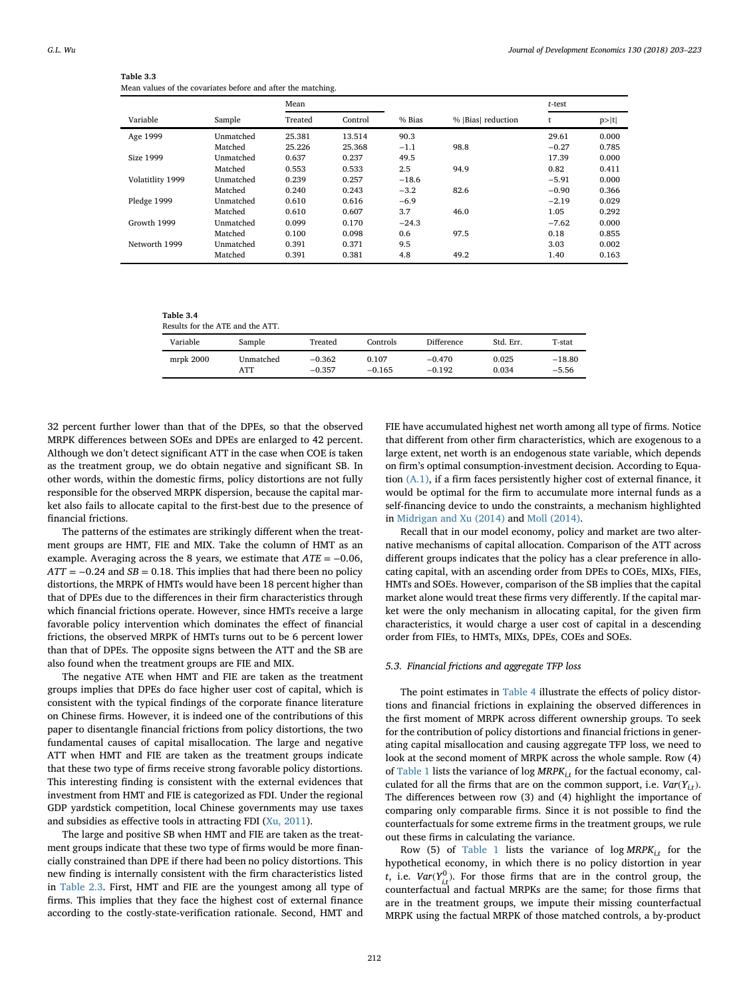| Table 3.3                                                    |
|--------------------------------------------------------------|
| Mean values of the covariates before and after the matching. |

<span id="page-9-0"></span>

|                  |           | Mean    |         |         |                     | t-test  |       |
|------------------|-----------|---------|---------|---------|---------------------|---------|-------|
| Variable         | Sample    | Treated | Control | % Bias  | %   Bias  reduction |         | p> t  |
| Age 1999         | Unmatched | 25.381  | 13.514  | 90.3    |                     | 29.61   | 0.000 |
|                  | Matched   | 25.226  | 25.368  | $-1.1$  | 98.8                | $-0.27$ | 0.785 |
| Size 1999        | Unmatched | 0.637   | 0.237   | 49.5    |                     | 17.39   | 0.000 |
|                  | Matched   | 0.553   | 0.533   | 2.5     | 94.9                | 0.82    | 0.411 |
| Volatitlity 1999 | Unmatched | 0.239   | 0.257   | $-18.6$ |                     | $-5.91$ | 0.000 |
|                  | Matched   | 0.240   | 0.243   | $-3.2$  | 82.6                | $-0.90$ | 0.366 |
| Pledge 1999      | Unmatched | 0.610   | 0.616   | $-6.9$  |                     | $-2.19$ | 0.029 |
|                  | Matched   | 0.610   | 0.607   | 3.7     | 46.0                | 1.05    | 0.292 |
| Growth 1999      | Unmatched | 0.099   | 0.170   | $-24.3$ |                     | $-7.62$ | 0.000 |
|                  | Matched   | 0.100   | 0.098   | 0.6     | 97.5                | 0.18    | 0.855 |
| Networth 1999    | Unmatched | 0.391   | 0.371   | 9.5     |                     | 3.03    | 0.002 |
|                  | Matched   | 0.391   | 0.381   | 4.8     | 49.2                | 1.40    | 0.163 |

**Table 3.4** Results for the ATE and the ATT.

<span id="page-9-1"></span>

| Results for the Arric and the Arriv |                  |                      |                   |                      |                |                     |  |  |  |  |  |  |
|-------------------------------------|------------------|----------------------|-------------------|----------------------|----------------|---------------------|--|--|--|--|--|--|
| Variable                            | Sample           | Treated              | Controls          | <b>Difference</b>    | Std. Err.      | T-stat              |  |  |  |  |  |  |
| mrpk 2000                           | Unmatched<br>ATT | $-0.362$<br>$-0.357$ | 0.107<br>$-0.165$ | $-0.470$<br>$-0.192$ | 0.025<br>0.034 | $-18.80$<br>$-5.56$ |  |  |  |  |  |  |

32 percent further lower than that of the DPEs, so that the observed MRPK differences between SOEs and DPEs are enlarged to 42 percent. Although we don't detect significant ATT in the case when COE is taken as the treatment group, we do obtain negative and significant SB. In other words, within the domestic firms, policy distortions are not fully responsible for the observed MRPK dispersion, because the capital market also fails to allocate capital to the first-best due to the presence of financial frictions.

The patterns of the estimates are strikingly different when the treatment groups are HMT, FIE and MIX. Take the column of HMT as an example. Averaging across the 8 years, we estimate that *ATE* = −0.06,  $ATT = -0.24$  and  $SB = 0.18$ . This implies that had there been no policy distortions, the MRPK of HMTs would have been 18 percent higher than that of DPEs due to the differences in their firm characteristics through which financial frictions operate. However, since HMTs receive a large favorable policy intervention which dominates the effect of financial frictions, the observed MRPK of HMTs turns out to be 6 percent lower than that of DPEs. The opposite signs between the ATT and the SB are also found when the treatment groups are FIE and MIX.

The negative ATE when HMT and FIE are taken as the treatment groups implies that DPEs do face higher user cost of capital, which is consistent with the typical findings of the corporate finance literature on Chinese firms. However, it is indeed one of the contributions of this paper to disentangle financial frictions from policy distortions, the two fundamental causes of capital misallocation. The large and negative ATT when HMT and FIE are taken as the treatment groups indicate that these two type of firms receive strong favorable policy distortions. This interesting finding is consistent with the external evidences that investment from HMT and FIE is categorized as FDI. Under the regional GDP yardstick competition, local Chinese governments may use taxes and subsidies as effective tools in attracting FDI [\(Xu, 2011\)](#page-20-40).

The large and positive SB when HMT and FIE are taken as the treatment groups indicate that these two type of firms would be more financially constrained than DPE if there had been no policy distortions. This new finding is internally consistent with the firm characteristics listed in [Table 2.3.](#page-6-1) First, HMT and FIE are the youngest among all type of firms. This implies that they face the highest cost of external finance according to the costly-state-verification rationale. Second, HMT and

FIE have accumulated highest net worth among all type of firms. Notice that different from other firm characteristics, which are exogenous to a large extent, net worth is an endogenous state variable, which depends on firm's optimal consumption-investment decision. According to Equation [\(A.1\),](#page-13-1) if a firm faces persistently higher cost of external finance, it would be optimal for the firm to accumulate more internal funds as a self-financing device to undo the constraints, a mechanism highlighted in [Midrigan and Xu \(2014\)](#page-20-10) and [Moll \(2014\).](#page-20-26)

Recall that in our model economy, policy and market are two alternative mechanisms of capital allocation. Comparison of the ATT across different groups indicates that the policy has a clear preference in allocating capital, with an ascending order from DPEs to COEs, MIXs, FIEs, HMTs and SOEs. However, comparison of the SB implies that the capital market alone would treat these firms very differently. If the capital market were the only mechanism in allocating capital, for the given firm characteristics, it would charge a user cost of capital in a descending order from FIEs, to HMTs, MIXs, DPEs, COEs and SOEs.

### *5.3. Financial frictions and aggregate TFP loss*

The point estimates in [Table 4](#page-10-0) illustrate the effects of policy distortions and financial frictions in explaining the observed differences in the first moment of MRPK across different ownership groups. To seek for the contribution of policy distortions and financial frictions in generating capital misallocation and causing aggregate TFP loss, we need to look at the second moment of MRPK across the whole sample. Row (4) of [Table 1](#page-4-3) lists the variance of log  $MRPK_{i}$  for the factual economy, calculated for all the firms that are on the common support, i.e.  $Var(Y_{it})$ . The differences between row (3) and (4) highlight the importance of comparing only comparable firms. Since it is not possible to find the counterfactuals for some extreme firms in the treatment groups, we rule out these firms in calculating the variance.

Row (5) of [Table 1](#page-4-3) lists the variance of  $log MRPK_{i,t}$  for the hypothetical economy, in which there is no policy distortion in year *t*, i.e.  $Var(Y_{i,t}^0)$ . For those firms that are in the control group, the counterfactual and factual MRPKs are the same; for those firms that are in the treatment groups, we impute their missing counterfactual MRPK using the factual MRPK of those matched controls, a by-product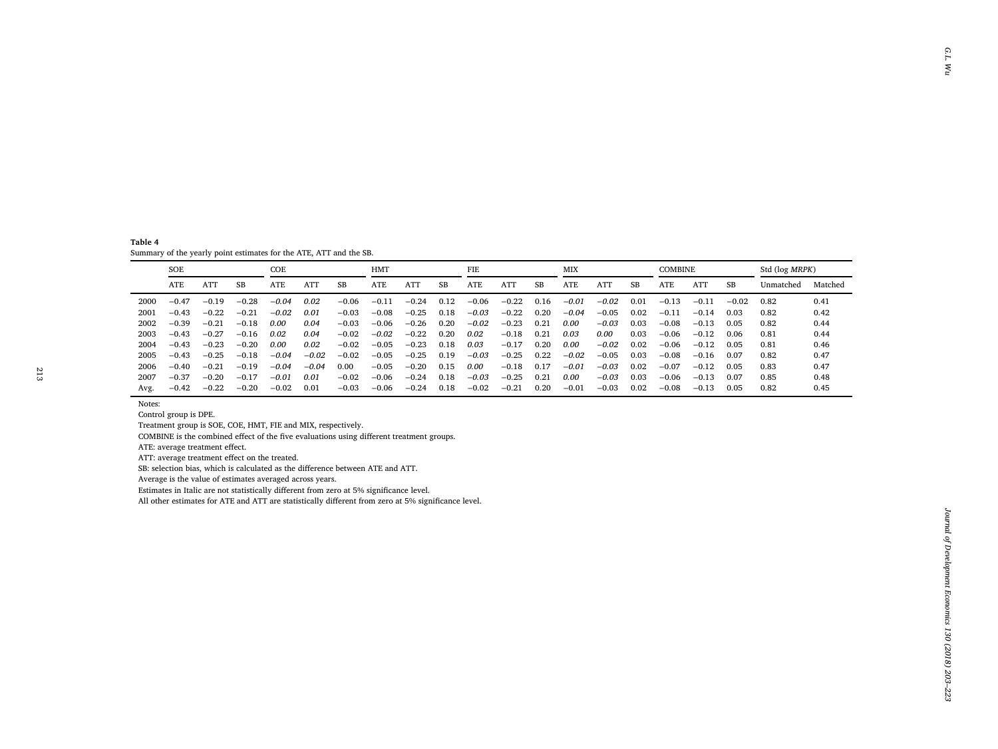<span id="page-10-0"></span>

|      | <b>SOE</b>                                                                                                                                                                                                                                                                                                                                                                                                                                                                                                                  |                      |          | COE     |         |          | <b>HMT</b> |         |          | FIE     |         |          | <b>MIX</b> |         |          | <b>COMBINE</b> |         |          | Std (log MRPK) |         |
|------|-----------------------------------------------------------------------------------------------------------------------------------------------------------------------------------------------------------------------------------------------------------------------------------------------------------------------------------------------------------------------------------------------------------------------------------------------------------------------------------------------------------------------------|----------------------|----------|---------|---------|----------|------------|---------|----------|---------|---------|----------|------------|---------|----------|----------------|---------|----------|----------------|---------|
|      | ATE                                                                                                                                                                                                                                                                                                                                                                                                                                                                                                                         | $\operatorname{ATT}$ | $\rm SB$ | ATE     | ATT     | $\rm SB$ | ATE        | ATT     | $\rm SB$ | ATE     | ATT     | $\rm SB$ | ATE        | ATT     | $\rm SB$ | ATE            | ATT     | $\rm SB$ | Unmatched      | Matched |
| 2000 | $-0.47$                                                                                                                                                                                                                                                                                                                                                                                                                                                                                                                     | $-0.19$              | $-0.28$  | $-0.04$ | 0.02    | $-0.06$  | $-0.11$    | $-0.24$ | 0.12     | $-0.06$ | $-0.22$ | 0.16     | $-0.01$    | $-0.02$ | 0.01     | $-0.13$        | $-0.11$ | $-0.02$  | 0.82           | 0.41    |
| 2001 | $-0.43$                                                                                                                                                                                                                                                                                                                                                                                                                                                                                                                     | $-0.22$              | $-0.21$  | $-0.02$ | 0.01    | $-0.03$  | $-0.08$    | $-0.25$ | 0.18     | $-0.03$ | $-0.22$ | 0.20     | $-0.04$    | $-0.05$ | 0.02     | $-0.11$        | $-0.14$ | 0.03     | 0.82           | 0.42    |
| 2002 | $-0.39$                                                                                                                                                                                                                                                                                                                                                                                                                                                                                                                     | $-0.21$              | $-0.18$  | 0.00    | 0.04    | $-0.03$  | $-0.06$    | $-0.26$ | 0.20     | $-0.02$ | $-0.23$ | 0.21     | $0.00\,$   | $-0.03$ | 0.03     | $-0.08$        | $-0.13$ | 0.05     | 0.82           | 0.44    |
| 2003 | $-0.43$                                                                                                                                                                                                                                                                                                                                                                                                                                                                                                                     | $-0.27$              | $-0.16$  | 0.02    | 0.04    | $-0.02$  | $-0.02$    | $-0.22$ | 0.20     | 0.02    | $-0.18$ | 0.21     | 0.03       | 0.00    | 0.03     | $-0.06$        | $-0.12$ | 0.06     | 0.81           | 0.44    |
| 2004 | $-0.43$                                                                                                                                                                                                                                                                                                                                                                                                                                                                                                                     | $-0.23$              | $-0.20$  | 0.00    | 0.02    | $-0.02$  | $-0.05$    | $-0.23$ | 0.18     | 0.03    | $-0.17$ | 0.20     | $0.00\,$   | $-0.02$ | 0.02     | $-0.06$        | $-0.12$ | 0.05     | 0.81           | 0.46    |
| 2005 | $-0.43$                                                                                                                                                                                                                                                                                                                                                                                                                                                                                                                     | $-0.25$              | $-0.18$  | $-0.04$ | $-0.02$ | $-0.02$  | $-0.05$    | $-0.25$ | 0.19     | $-0.03$ | $-0.25$ | 0.22     | $-0.02$    | $-0.05$ | 0.03     | $-0.08$        | $-0.16$ | 0.07     | 0.82           | 0.47    |
| 2006 | $-0.40$                                                                                                                                                                                                                                                                                                                                                                                                                                                                                                                     | $-0.21$              | $-0.19$  | $-0.04$ | $-0.04$ | 0.00     | $-0.05$    | $-0.20$ | 0.15     | 0.00    | $-0.18$ | 0.17     | $-0.01$    | $-0.03$ | 0.02     | $-0.07$        | $-0.12$ | 0.05     | 0.83           | 0.47    |
| 2007 | $-0.37$                                                                                                                                                                                                                                                                                                                                                                                                                                                                                                                     | $-0.20$              | $-0.17$  | $-0.01$ | 0.01    | $-0.02$  | $-0.06$    | $-0.24$ | 0.18     | $-0.03$ | $-0.25$ | 0.21     | 0.00       | $-0.03$ | 0.03     | $-0.06$        | $-0.13$ | 0.07     | 0.85           | 0.48    |
| Avg. | $-0.42$                                                                                                                                                                                                                                                                                                                                                                                                                                                                                                                     | $-0.22$              | $-0.20$  | $-0.02$ | 0.01    | $-0.03$  | $-0.06$    | $-0.24$ | 0.18     | $-0.02$ | $-0.21$ | 0.20     | $-0.01$    | $-0.03$ | 0.02     | $-0.08$        | $-0.13$ | 0.05     | 0.82           | 0.45    |
|      | COMBINE is the combined effect of the five evaluations using different treatment groups.<br>ATE: average treatment effect.<br>ATT: average treatment effect on the treated.<br>SB: selection bias, which is calculated as the difference between ATE and ATT.<br>Average is the value of estimates averaged across years.<br>Estimates in Italic are not statistically different from zero at 5% significance level.<br>All other estimates for ATE and ATT are statistically different from zero at 5% significance level. |                      |          |         |         |          |            |         |          |         |         |          |            |         |          |                |         |          |                |         |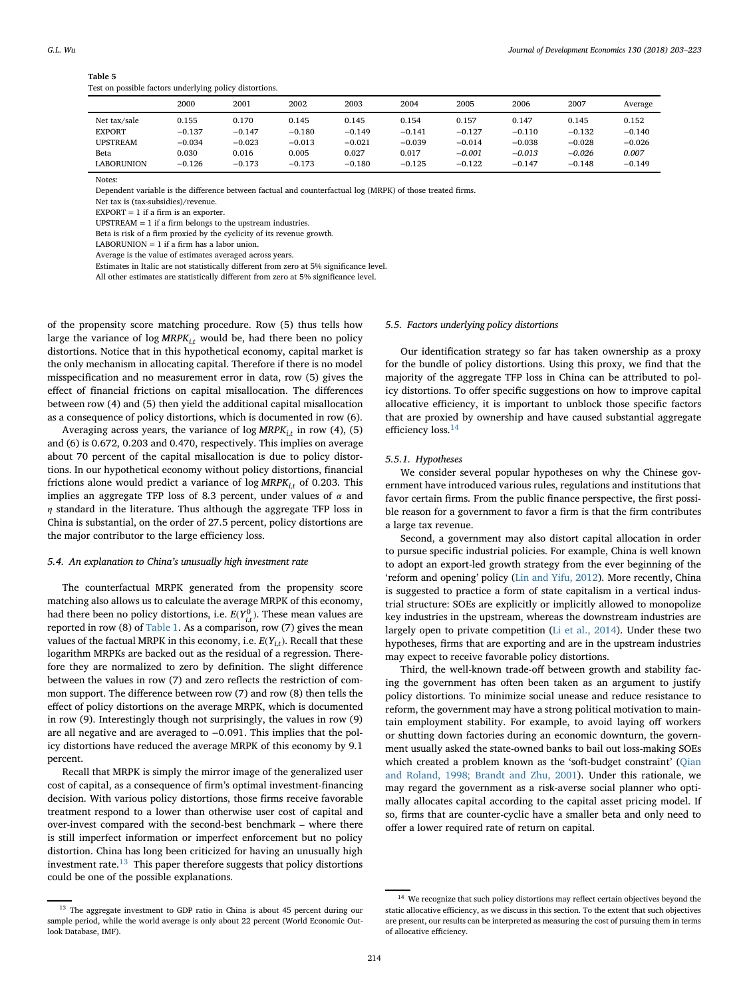# **Table 5**

Test on possible factors underlying policy distortions.

<span id="page-11-2"></span>

|                   | 2000     | 2001     | 2002     | 2003     | 2004     | 2005     | 2006     | 2007     | Average  |
|-------------------|----------|----------|----------|----------|----------|----------|----------|----------|----------|
| Net tax/sale      | 0.155    | 0.170    | 0.145    | 0.145    | 0.154    | 0.157    | 0.147    | 0.145    | 0.152    |
| <b>EXPORT</b>     | $-0.137$ | $-0.147$ | $-0.180$ | $-0.149$ | $-0.141$ | $-0.127$ | $-0.110$ | $-0.132$ | $-0.140$ |
| <b>UPSTREAM</b>   | $-0.034$ | $-0.023$ | $-0.013$ | $-0.021$ | $-0.039$ | $-0.014$ | $-0.038$ | $-0.028$ | $-0.026$ |
| Beta              | 0.030    | 0.016    | 0.005    | 0.027    | 0.017    | $-0.001$ | $-0.013$ | $-0.026$ | 0.007    |
| <b>LABORUNION</b> | $-0.126$ | $-0.173$ | $-0.173$ | $-0.180$ | $-0.125$ | $-0.122$ | $-0.147$ | $-0.148$ | $-0.149$ |

Notes:

Dependent variable is the difference between factual and counterfactual log (MRPK) of those treated firms.

Net tax is (tax-subsidies)/revenue.

 $EXPORT = 1$  if a firm is an exporter.

 $UPSTREAM = 1$  if a firm belongs to the upstream industries.

Beta is risk of a firm proxied by the cyclicity of its revenue growth.

LABORUNION  $= 1$  if a firm has a labor union.

Average is the value of estimates averaged across years.

Estimates in Italic are not statistically different from zero at 5% significance level.

All other estimates are statistically different from zero at 5% significance level.

of the propensity score matching procedure. Row (5) thus tells how large the variance of log  $MRPK_{i,t}$  would be, had there been no policy distortions. Notice that in this hypothetical economy, capital market is the only mechanism in allocating capital. Therefore if there is no model misspecification and no measurement error in data, row (5) gives the effect of financial frictions on capital misallocation. The differences between row (4) and (5) then yield the additional capital misallocation as a consequence of policy distortions, which is documented in row (6).

Averaging across years, the variance of log  $MRPK_{i,t}$  in row (4), (5) and (6) is 0.672, 0.203 and 0.470, respectively. This implies on average about 70 percent of the capital misallocation is due to policy distortions. In our hypothetical economy without policy distortions, financial frictions alone would predict a variance of  $log MRPK_i$ *t* of 0.203. This implies an aggregate TFP loss of 8.3 percent, under values of  $\alpha$  and  $\eta$  standard in the literature. Thus although the aggregate TFP loss in China is substantial, on the order of 27.5 percent, policy distortions are the major contributor to the large efficiency loss.

#### *5.4. An explanation to China's unusually high investment rate*

The counterfactual MRPK generated from the propensity score matching also allows us to calculate the average MRPK of this economy, had there been no policy distortions, i.e.  $E(Y_{i,t}^0)$ . These mean values are reported in row (8) of [Table 1.](#page-4-3) As a comparison, row (7) gives the mean values of the factual MRPK in this economy, i.e. *E*(*Yi,t*). Recall that these logarithm MRPKs are backed out as the residual of a regression. Therefore they are normalized to zero by definition. The slight difference between the values in row (7) and zero reflects the restriction of common support. The difference between row (7) and row (8) then tells the effect of policy distortions on the average MRPK, which is documented in row (9). Interestingly though not surprisingly, the values in row (9) are all negative and are averaged to −0.091. This implies that the policy distortions have reduced the average MRPK of this economy by 9.1 percent.

Recall that MRPK is simply the mirror image of the generalized user cost of capital, as a consequence of firm's optimal investment-financing decision. With various policy distortions, those firms receive favorable treatment respond to a lower than otherwise user cost of capital and over-invest compared with the second-best benchmark – where there is still imperfect information or imperfect enforcement but no policy distortion. China has long been criticized for having an unusually high investment rate. $13$  This paper therefore suggests that policy distortions could be one of the possible explanations.

#### *5.5. Factors underlying policy distortions*

Our identification strategy so far has taken ownership as a proxy for the bundle of policy distortions. Using this proxy, we find that the majority of the aggregate TFP loss in China can be attributed to policy distortions. To offer specific suggestions on how to improve capital allocative efficiency, it is important to unblock those specific factors that are proxied by ownership and have caused substantial aggregate efficiency loss.<sup>[14](#page-11-1)</sup>

#### *5.5.1. Hypotheses*

We consider several popular hypotheses on why the Chinese government have introduced various rules, regulations and institutions that favor certain firms. From the public finance perspective, the first possible reason for a government to favor a firm is that the firm contributes a large tax revenue.

Second, a government may also distort capital allocation in order to pursue specific industrial policies. For example, China is well known to adopt an export-led growth strategy from the ever beginning of the 'reform and opening' policy [\(Lin and Yifu, 2012\)](#page-20-41). More recently, China is suggested to practice a form of state capitalism in a vertical industrial structure: SOEs are explicitly or implicitly allowed to monopolize key industries in the upstream, whereas the downstream industries are largely open to private competition [\(Li et al., 2014\)](#page-20-42). Under these two hypotheses, firms that are exporting and are in the upstream industries may expect to receive favorable policy distortions.

Third, the well-known trade-off between growth and stability facing the government has often been taken as an argument to justify policy distortions. To minimize social unease and reduce resistance to reform, the government may have a strong political motivation to maintain employment stability. For example, to avoid laying off workers or shutting down factories during an economic downturn, the government usually asked the state-owned banks to bail out loss-making SOEs [which created a problem known as the 'soft-budget constraint' \(Qian](#page-20-43) and Roland, 1998; Brandt and Zhu, 2001). Under this rationale, we may regard the government as a risk-averse social planner who optimally allocates capital according to the capital asset pricing model. If so, firms that are counter-cyclic have a smaller beta and only need to offer a lower required rate of return on capital.

<span id="page-11-0"></span><sup>&</sup>lt;sup>13</sup> The aggregate investment to GDP ratio in China is about 45 percent during our sample period, while the world average is only about 22 percent (World Economic Outlook Database, IMF).

<span id="page-11-1"></span><sup>&</sup>lt;sup>14</sup> We recognize that such policy distortions may reflect certain objectives beyond the static allocative efficiency, as we discuss in this section. To the extent that such objectives are present, our results can be interpreted as measuring the cost of pursuing them in terms of allocative efficiency.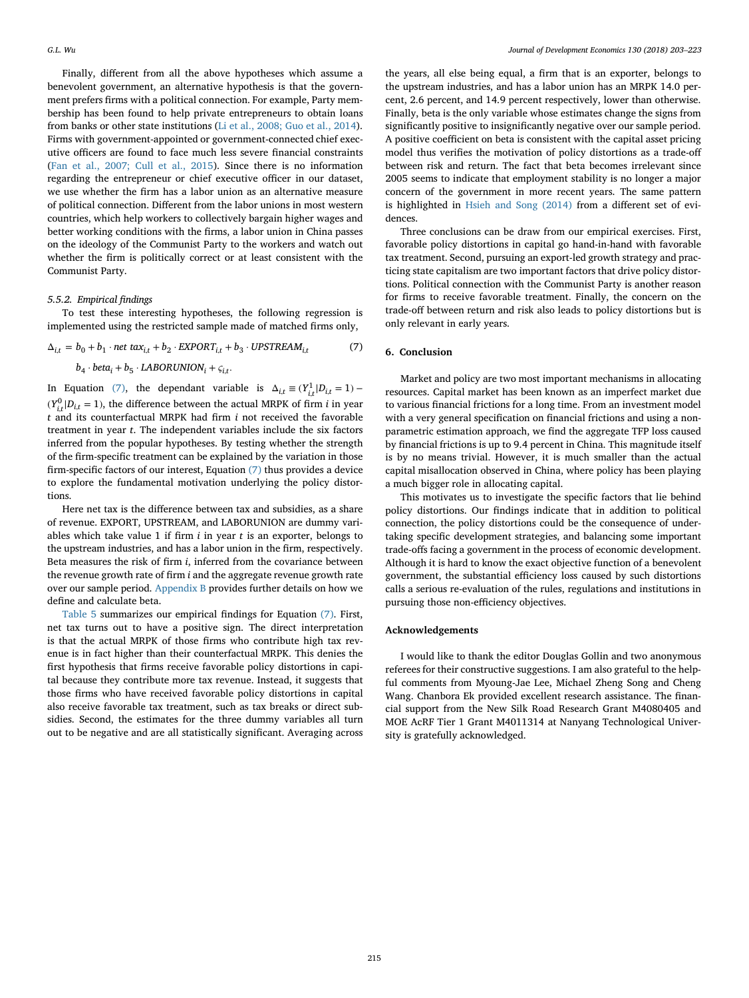Finally, different from all the above hypotheses which assume a benevolent government, an alternative hypothesis is that the government prefers firms with a political connection. For example, Party membership has been found to help private entrepreneurs to obtain loans from banks or other state institutions [\(Li et al., 2008; Guo et al., 2014\)](#page-20-44). Firms with government-appointed or government-connected chief executive officers are found to face much less severe financial constraints (Fan et al., 2007; Cull et al., 2015). Since there is no information regarding the entrepreneur or chief executive officer in our dataset, we use whether the firm has a labor union as an alternative measure of political connection. Different from the labor unions in most western countries, which help workers to collectively bargain higher wages and better working conditions with the firms, a labor union in China passes on the ideology of the Communist Party to the workers and watch out whether the firm is politically correct or at least consistent with the Communist Party.

#### *5.5.2. Empirical findings*

To test these interesting hypotheses, the following regression is implemented using the restricted sample made of matched firms only,

 $\Delta_{it} = b_0 + b_1 \cdot net \, tax_{it} + b_2 \cdot EXPORT_{it} + b_3 \cdot UPSTREAM_{it}$  (7)

$$
b_4 \cdot beta_i + b_5 \cdot LABORUNION_i + \varsigma_{i,t}.
$$

In Equation [\(7\),](#page-12-1) the dependant variable is  $\Delta_{i,t} \equiv (Y_{i,t}^1 | D_{i,t} = 1)$  –  $(Y_{i,t}^0 | D_{i,t} = 1)$ , the difference between the actual MRPK of firm *i* in year *t* and its counterfactual MRPK had firm *i* not received the favorable treatment in year *t*. The independent variables include the six factors inferred from the popular hypotheses. By testing whether the strength of the firm-specific treatment can be explained by the variation in those firm-specific factors of our interest, Equation [\(7\)](#page-12-1) thus provides a device to explore the fundamental motivation underlying the policy distortions.

Here net tax is the difference between tax and subsidies, as a share of revenue. EXPORT, UPSTREAM, and LABORUNION are dummy variables which take value 1 if firm *i* in year *t* is an exporter, belongs to the upstream industries, and has a labor union in the firm, respectively. Beta measures the risk of firm *i*, inferred from the covariance between the revenue growth rate of firm *i* and the aggregate revenue growth rate over our sample period. [Appendix B](#page-13-0) provides further details on how we define and calculate beta.

[Table 5](#page-11-2) summarizes our empirical findings for Equation [\(7\).](#page-12-1) First, net tax turns out to have a positive sign. The direct interpretation is that the actual MRPK of those firms who contribute high tax revenue is in fact higher than their counterfactual MRPK. This denies the first hypothesis that firms receive favorable policy distortions in capital because they contribute more tax revenue. Instead, it suggests that those firms who have received favorable policy distortions in capital also receive favorable tax treatment, such as tax breaks or direct subsidies. Second, the estimates for the three dummy variables all turn out to be negative and are all statistically significant. Averaging across

the years, all else being equal, a firm that is an exporter, belongs to the upstream industries, and has a labor union has an MRPK 14.0 percent, 2.6 percent, and 14.9 percent respectively, lower than otherwise. Finally, beta is the only variable whose estimates change the signs from significantly positive to insignificantly negative over our sample period. A positive coefficient on beta is consistent with the capital asset pricing model thus verifies the motivation of policy distortions as a trade-off between risk and return. The fact that beta becomes irrelevant since 2005 seems to indicate that employment stability is no longer a major concern of the government in more recent years. The same pattern is highlighted in [Hsieh and Song \(2014\)](#page-20-34) from a different set of evidences.

Three conclusions can be draw from our empirical exercises. First, favorable policy distortions in capital go hand-in-hand with favorable tax treatment. Second, pursuing an export-led growth strategy and practicing state capitalism are two important factors that drive policy distortions. Political connection with the Communist Party is another reason for firms to receive favorable treatment. Finally, the concern on the trade-off between return and risk also leads to policy distortions but is only relevant in early years.

### <span id="page-12-1"></span><span id="page-12-0"></span>**6. Conclusion**

Market and policy are two most important mechanisms in allocating resources. Capital market has been known as an imperfect market due to various financial frictions for a long time. From an investment model with a very general specification on financial frictions and using a nonparametric estimation approach, we find the aggregate TFP loss caused by financial frictions is up to 9.4 percent in China. This magnitude itself is by no means trivial. However, it is much smaller than the actual capital misallocation observed in China, where policy has been playing a much bigger role in allocating capital.

This motivates us to investigate the specific factors that lie behind policy distortions. Our findings indicate that in addition to political connection, the policy distortions could be the consequence of undertaking specific development strategies, and balancing some important trade-offs facing a government in the process of economic development. Although it is hard to know the exact objective function of a benevolent government, the substantial efficiency loss caused by such distortions calls a serious re-evaluation of the rules, regulations and institutions in pursuing those non-efficiency objectives.

#### **Acknowledgements**

I would like to thank the editor Douglas Gollin and two anonymous referees for their constructive suggestions. I am also grateful to the helpful comments from Myoung-Jae Lee, Michael Zheng Song and Cheng Wang. Chanbora Ek provided excellent research assistance. The financial support from the New Silk Road Research Grant M4080405 and MOE AcRF Tier 1 Grant M4011314 at Nanyang Technological University is gratefully acknowledged.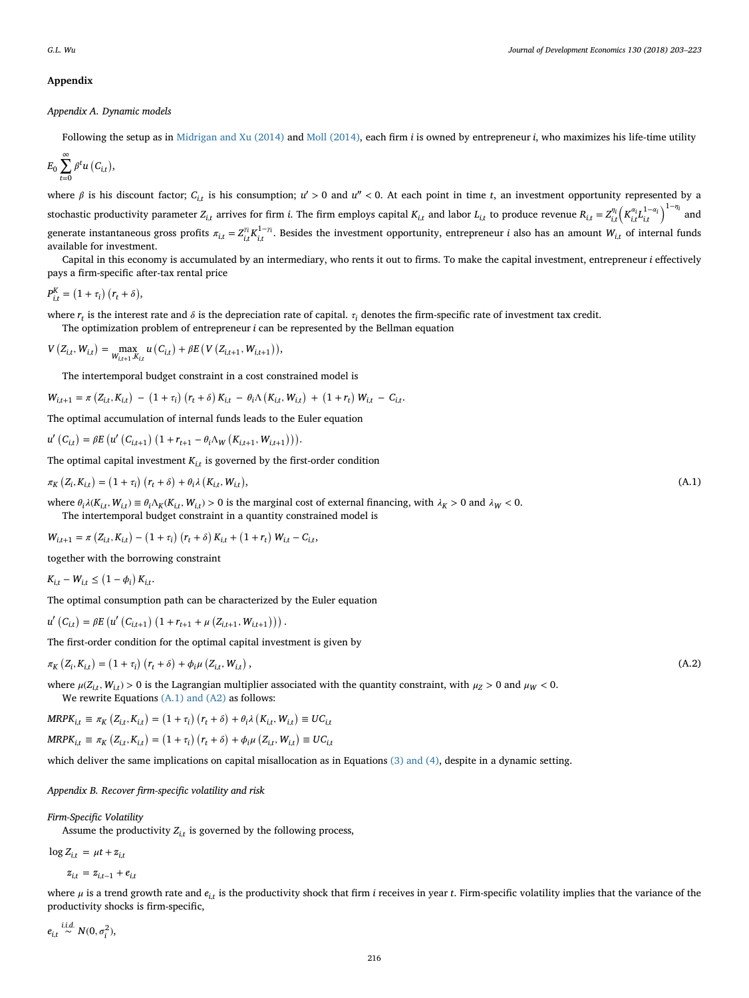# <span id="page-13-0"></span>**Appendix**

*Appendix A. Dynamic models*

Following the setup as in [Midrigan and Xu \(2014\)](#page-20-10) and [Moll \(2014\),](#page-20-26) each firm *i* is owned by entrepreneur *i*, who maximizes his life-time utility

$$
E_0\sum_{t=0}^{\infty}\beta^t u\left(C_{i,t}\right),\,
$$

where  $\beta$  is his discount factor;  $C_{i,t}$  is his consumption;  $u' > 0$  and  $u'' < 0$ . At each point in time *t*, an investment opportunity represented by a stochastic productivity parameter  $Z_{i,t}$  arrives for firm *i*. The firm employs capital  $K_{i,t}$  and labor  $L_{i,t}$  to produce revenue  $R_{i,t} = Z_{i,t}^{\eta_i} \Big(K_{i,t}^{\alpha_i} L_{i,t}^{1-\alpha_i}\Big)^{1-\eta_i}$  and generate instantaneous gross profits  $\pi_{i,t} = Z_{i,t}^{\gamma_i} K_{i,t}^{1-\gamma_i}$ . Besides the investment opportunity, entrepreneur *i* also has an amount  $W_{i,t}$  of internal funds available for investment.

Capital in this economy is accumulated by an intermediary, who rents it out to firms. To make the capital investment, entrepreneur *i* effectively pays a firm-specific after-tax rental price

$$
P_{i,t}^K = (1 + \tau_i) (r_t + \delta),
$$

where  $r_t$  is the interest rate and  $\delta$  is the depreciation rate of capital.  $\tau_i$  denotes the firm-specific rate of investment tax credit.

The optimization problem of entrepreneur *i* can be represented by the Bellman equation

$$
V(Z_{i,t}, W_{i,t}) = \max_{W_{i,t+1}, K_{i,t}} u(C_{i,t}) + \beta E(V(Z_{i,t+1}, W_{i,t+1})),
$$

The intertemporal budget constraint in a cost constrained model is

$$
W_{i,t+1} = \pi (Z_{i,t}, K_{i,t}) - (1 + \tau_i) (r_t + \delta) K_{i,t} - \theta_i \Lambda (K_{i,t}, W_{i,t}) + (1 + r_t) W_{i,t} - C_{i,t}.
$$

The optimal accumulation of internal funds leads to the Euler equation

$$
u'\left(C_{i,t}\right) = \beta E\left(u'\left(C_{i,t+1}\right)\left(1 + r_{t+1} - \theta_i \Lambda_W\left(K_{i,t+1}, W_{i,t+1}\right)\right)\right).
$$

The optimal capital investment  $K_{i,t}$  is governed by the first-order condition

$$
\pi_K\left(Z_i, K_{i,t}\right) = \left(1 + \tau_i\right)\left(r_t + \delta\right) + \theta_i \lambda\left(K_{i,t}, W_{i,t}\right),\tag{A.1}
$$

where  $\theta_i \lambda(K_{i,t}, W_{i,t}) \equiv \theta_i \Lambda_K(K_{i,t}, W_{i,t}) > 0$  is the marginal cost of external financing, with  $\lambda_K > 0$  and  $\lambda_W < 0$ . The intertemporal budget constraint in a quantity constrained model is

$$
W_{i,t+1} = \pi \left( Z_{i,t}, K_{i,t} \right) - \left( 1 + \tau_i \right) \left( r_t + \delta \right) K_{i,t} + \left( 1 + r_t \right) W_{i,t} - C_{i,t},
$$

together with the borrowing constraint

 $K_{i,t} - W_{i,t} \leq (1 - \phi_i) K_{i,t}.$ 

The optimal consumption path can be characterized by the Euler equation

$$
u'\left(C_{i,t}\right) = \beta E\left(u'\left(C_{i,t+1}\right)\left(1 + r_{t+1} + \mu\left(Z_{i,t+1}, W_{i,t+1}\right)\right)\right).
$$

The first-order condition for the optimal capital investment is given by

 $\pi_K (Z_i, K_{i,t}) = (1 + \tau_i) (r_t + \delta) + \phi_i \mu (Z_{i,t}, W_{i,t})$ 

where  $\mu(Z_{it}, W_{it}) > 0$  is the Lagrangian multiplier associated with the quantity constraint, with  $\mu_Z > 0$  and  $\mu_W < 0$ . We rewrite Equations [\(A.1\) and \(A2\)](#page-13-1) as follows:

$$
MRPK_{i,t} \equiv \pi_K (Z_{i,t}, K_{i,t}) = (1 + \tau_i) (r_t + \delta) + \theta_i \lambda (K_{i,t}, W_{i,t}) \equiv UC_{i,t}
$$
  

$$
MRPK_{i,t} \equiv \pi_K (Z_{i,t}, K_{i,t}) = (1 + \tau_i) (r_t + \delta) + \phi_i \mu (Z_{i,t}, W_{i,t}) \equiv UC_{i,t}
$$

which deliver the same implications on capital misallocation as in Equations [\(3\) and \(4\),](#page-2-5) despite in a dynamic setting.

#### *Appendix B. Recover firm-specific volatility and risk*

*Firm-Specific Volatility*

Assume the productivity  $Z_{i,t}$  is governed by the following process,

 $\log Z_{i,t} = \mu t + z_{i,t}$ 

$$
z_{i,t} = z_{i,t-1} + e_{i,t}
$$

where  $\mu$  is a trend growth rate and  $e_i$  is the productivity shock that firm *i* receives in year *t*. Firm-specific volatility implies that the variance of the productivity shocks is firm-specific,

 $e_{i,t} \stackrel{i.i.d.}{\sim} N(0, \sigma_i^2),$ 

<span id="page-13-1"></span>,  $(A.2)$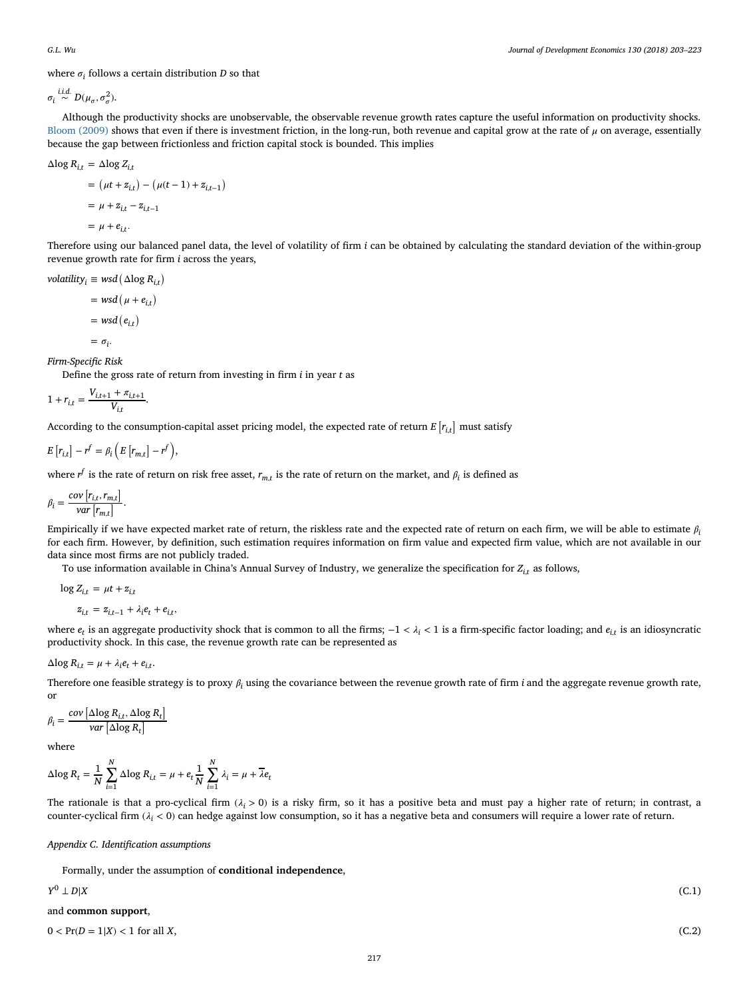where  $\sigma_i$  follows a certain distribution *D* so that

 $\sigma_i \stackrel{i.i.d.}{\sim} D(\mu_\sigma, \sigma_\sigma^2).$ 

Although the productivity shocks are unobservable, the observable revenue growth rates capture the useful information on productivity shocks. [Bloom \(2009\)](#page-20-45) shows that even if there is investment friction, in the long-run, both revenue and capital grow at the rate of  $\mu$  on average, essentially because the gap between frictionless and friction capital stock is bounded. This implies

$$
\Delta \log R_{i,t} = \Delta \log Z_{i,t}
$$
  
= 
$$
(\mu t + z_{i,t}) - (\mu (t - 1) + z_{i,t-1})
$$
  
= 
$$
\mu + z_{i,t} - z_{i,t-1}
$$
  
= 
$$
\mu + e_{i,t}.
$$

Therefore using our balanced panel data, the level of volatility of firm *i* can be obtained by calculating the standard deviation of the within-group revenue growth rate for firm *i* across the years,

 $\text{volatility}_i \equiv \text{wsd}(\Delta \log R_{i,t})$ 

$$
= wsd (\mu + e_{i,t})
$$

$$
= wsd (e_{i,t})
$$

$$
= \sigma_i.
$$

*Firm-Specific Risk*

Define the gross rate of return from investing in firm *i* in year *t* as

$$
1 + r_{i,t} = \frac{V_{i,t+1} + \pi_{i,t+1}}{V_{i,t}}.
$$

According to the consumption-capital asset pricing model, the expected rate of return  $E\left[r_{i,t}\right]$  must satisfy

$$
E[r_{i,t}]-r^f=\beta_i\left(E[r_{m,t}]-r^f\right),\,
$$

where  $r^f$  is the rate of return on risk free asset,  $r_{m,t}$  is the rate of return on the market, and  $\beta_i$  is defined as

$$
\beta_i = \frac{cov[r_{i,t}, r_{m,t}]}{var[r_{m,t}]}.
$$

Empirically if we have expected market rate of return, the riskless rate and the expected rate of return on each firm, we will be able to estimate  $\beta$ for each firm. However, by definition, such estimation requires information on firm value and expected firm value, which are not available in our data since most firms are not publicly traded.

To use information available in China's Annual Survey of Industry, we generalize the specification for *Zi,<sup>t</sup>* as follows,

$$
\log Z_{i,t} = \mu t + z_{i,t}
$$

$$
z_{i,t} = z_{i,t-1} + \lambda_i e_t + e_{i,t},
$$

where  $e_t$  is an aggregate productivity shock that is common to all the firms;  $-1 < \lambda_i < 1$  is a firm-specific factor loading; and  $e_i$ , is an idiosyncratic productivity shock. In this case, the revenue growth rate can be represented as

 $\Delta$ log  $R_{i,t} = \mu + \lambda_i e_t + e_{i,t}$ .

Therefore one feasible strategy is to proxy  $\beta_i$  using the covariance between the revenue growth rate of firm *i* and the aggregate revenue growth rate, or

$$
\beta_i = \frac{\text{cov}\left[\Delta \log R_{i,t}, \Delta \log R_t\right]}{\text{var}\left[\Delta \log R_t\right]}
$$

where

$$
\Delta \log R_t = \frac{1}{N} \sum_{i=1}^{N} \Delta \log R_{i,t} = \mu + e_t \frac{1}{N} \sum_{i=1}^{N} \lambda_i = \mu + \overline{\lambda} e_t
$$

The rationale is that a pro-cyclical firm  $(\lambda_i > 0)$  is a risky firm, so it has a positive beta and must pay a higher rate of return; in contrast, a counter-cyclical firm  $(i_i < 0)$  can hedge against low consumption, so it has a negative beta and consumers will require a lower rate of return.

# *Appendix C. Identification assumptions*

<span id="page-14-0"></span>Formally, under the assumption of **conditional independence**,

$$
Y^0 \perp D|X \tag{C.1}
$$

# and **common support**,

 $0 < \Pr(D = 1|X) < 1$  for all *X*, (C.2)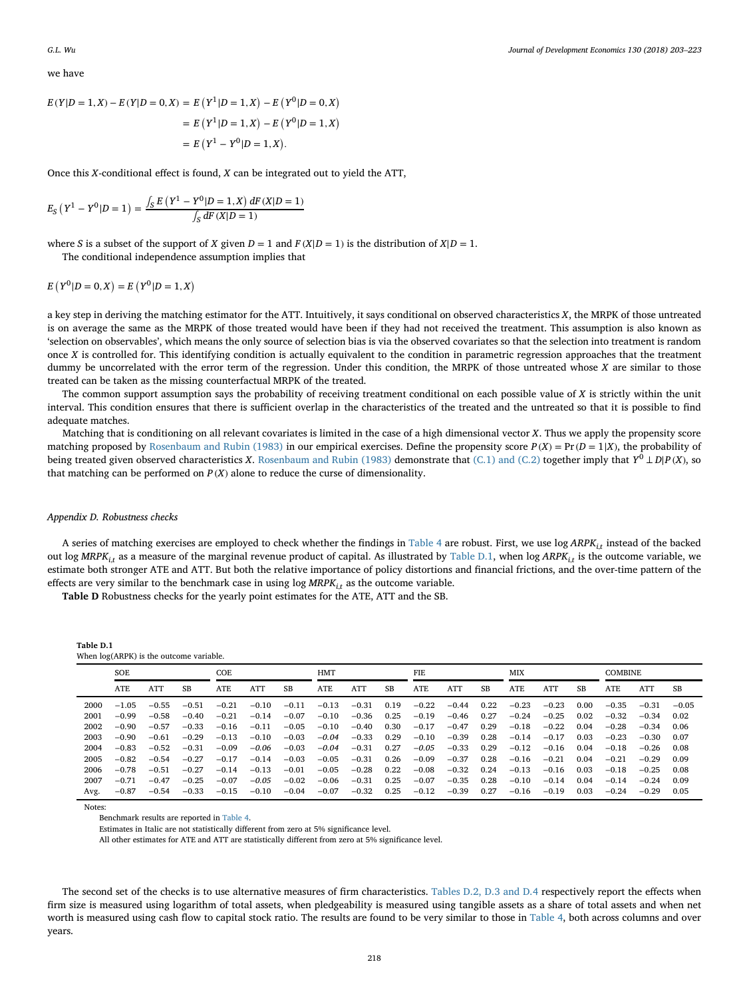we have

$$
E(Y|D = 1, X) - E(Y|D = 0, X) = E(Y^{1}|D = 1, X) - E(Y^{0}|D = 0, X)
$$
  
=  $E(Y^{1}|D = 1, X) - E(Y^{0}|D = 1, X)$   
=  $E(Y^{1} - Y^{0}|D = 1, X).$ 

Once this *X*-conditional effect is found, *X* can be integrated out to yield the ATT,

$$
E_S(Y^1 - Y^0 | D = 1) = \frac{\int_S E(Y^1 - Y^0 | D = 1, X) dF(X | D = 1)}{\int_S dF(X | D = 1)}
$$

where *S* is a subset of the support of *X* given  $D = 1$  and  $F(X|D = 1)$  is the distribution of  $X|D = 1$ .

The conditional independence assumption implies that

 $E(Y^0|D = 0, X) = E(Y^0|D = 1, X)$ 

a key step in deriving the matching estimator for the ATT. Intuitively, it says conditional on observed characteristics *X*, the MRPK of those untreated is on average the same as the MRPK of those treated would have been if they had not received the treatment. This assumption is also known as 'selection on observables', which means the only source of selection bias is via the observed covariates so that the selection into treatment is random once *X* is controlled for. This identifying condition is actually equivalent to the condition in parametric regression approaches that the treatment dummy be uncorrelated with the error term of the regression. Under this condition, the MRPK of those untreated whose *X* are similar to those treated can be taken as the missing counterfactual MRPK of the treated.

The common support assumption says the probability of receiving treatment conditional on each possible value of *X* is strictly within the unit interval. This condition ensures that there is sufficient overlap in the characteristics of the treated and the untreated so that it is possible to find adequate matches.

Matching that is conditioning on all relevant covariates is limited in the case of a high dimensional vector *X*. Thus we apply the propensity score matching proposed by [Rosenbaum and Rubin \(1983\)](#page-20-46) in our empirical exercises. Define the propensity score  $P(X) = Pr(D = 1|X)$ , the probability of being treated given observed characteristics *<sup>X</sup>*. [Rosenbaum and Rubin \(1983\)](#page-20-46) demonstrate that [\(C.1\) and \(C.2\)](#page-14-0) together imply that *<sup>Y</sup>*<sup>0</sup> *<sup>⊥</sup> <sup>D</sup>*|*<sup>P</sup>* (*X*), so that matching can be performed on  $P(X)$  alone to reduce the curse of dimensionality.

#### *Appendix D. Robustness checks*

A series of matching exercises are employed to check whether the findings in [Table 4](#page-10-0) are robust. First, we use log *ARPKi,<sup>t</sup>* instead of the backed out log *MRPKi,<sup>t</sup>* as a measure of the marginal revenue product of capital. As illustrated by [Table D.1,](#page-13-0) when log *ARPKi,<sup>t</sup>* is the outcome variable, we estimate both stronger ATE and ATT. But both the relative importance of policy distortions and financial frictions, and the over-time pattern of the effects are very similar to the benchmark case in using log *MRPKi,<sup>t</sup>* as the outcome variable.

**Table D** Robustness checks for the yearly point estimates for the ATE, ATT and the SB.

| -напет <i>п.</i> н                        |  |
|-------------------------------------------|--|
| When $log(ARPK)$ is the outcome variable. |  |

|      | SOE        |         | COE     |         |         | <b>HMT</b> |         |            | FIE  |            |         | <b>MIX</b> |            |         | <b>COMBINE</b> |         |         |         |
|------|------------|---------|---------|---------|---------|------------|---------|------------|------|------------|---------|------------|------------|---------|----------------|---------|---------|---------|
|      | <b>ATE</b> | ATT     | SB      | ATE     | ATT     | SB         | ATE     | <b>ATT</b> | SB   | <b>ATE</b> | ATT     | SB         | <b>ATE</b> | ATT     | SB             | ATE     | ATT     | SB      |
| 2000 | $-1.05$    | $-0.55$ | $-0.51$ | $-0.21$ | $-0.10$ | $-0.11$    | $-0.13$ | $-0.31$    | 0.19 | $-0.22$    | $-0.44$ | 0.22       | $-0.23$    | $-0.23$ | 0.00           | $-0.35$ | $-0.31$ | $-0.05$ |
| 2001 | $-0.99$    | $-0.58$ | $-0.40$ | $-0.21$ | $-0.14$ | $-0.07$    | $-0.10$ | $-0.36$    | 0.25 | $-0.19$    | $-0.46$ | 0.27       | $-0.24$    | $-0.25$ | 0.02           | $-0.32$ | $-0.34$ | 0.02    |
| 2002 | $-0.90$    | $-0.57$ | $-0.33$ | $-0.16$ | $-0.11$ | $-0.05$    | $-0.10$ | $-0.40$    | 0.30 | $-0.17$    | $-0.47$ | 0.29       | $-0.18$    | $-0.22$ | 0.04           | $-0.28$ | $-0.34$ | 0.06    |
| 2003 | $-0.90$    | $-0.61$ | $-0.29$ | $-0.13$ | $-0.10$ | $-0.03$    | $-0.04$ | $-0.33$    | 0.29 | $-0.10$    | $-0.39$ | 0.28       | $-0.14$    | $-0.17$ | 0.03           | $-0.23$ | $-0.30$ | 0.07    |
| 2004 | $-0.83$    | $-0.52$ | $-0.31$ | $-0.09$ | $-0.06$ | $-0.03$    | $-0.04$ | $-0.31$    | 0.27 | $-0.05$    | $-0.33$ | 0.29       | $-0.12$    | $-0.16$ | 0.04           | $-0.18$ | $-0.26$ | 0.08    |
| 2005 | $-0.82$    | $-0.54$ | $-0.27$ | $-0.17$ | $-0.14$ | $-0.03$    | $-0.05$ | $-0.31$    | 0.26 | $-0.09$    | $-0.37$ | 0.28       | $-0.16$    | $-0.21$ | 0.04           | $-0.21$ | $-0.29$ | 0.09    |
| 2006 | $-0.78$    | $-0.51$ | $-0.27$ | $-0.14$ | $-0.13$ | $-0.01$    | $-0.05$ | $-0.28$    | 0.22 | $-0.08$    | $-0.32$ | 0.24       | $-0.13$    | $-0.16$ | 0.03           | $-0.18$ | $-0.25$ | 0.08    |
| 2007 | $-0.71$    | $-0.47$ | $-0.25$ | $-0.07$ | $-0.05$ | $-0.02$    | $-0.06$ | $-0.31$    | 0.25 | $-0.07$    | $-0.35$ | 0.28       | $-0.10$    | $-0.14$ | 0.04           | $-0.14$ | $-0.24$ | 0.09    |
| Avg. | $-0.87$    | $-0.54$ | $-0.33$ | $-0.15$ | $-0.10$ | $-0.04$    | $-0.07$ | $-0.32$    | 0.25 | $-0.12$    | $-0.39$ | 0.27       | $-0.16$    | $-0.19$ | 0.03           | $-0.24$ | $-0.29$ | 0.05    |

Notes:

**Table D.1**

Estimates in Italic are not statistically different from zero at 5% significance level.

All other estimates for ATE and ATT are statistically different from zero at 5% significance level.

The second set of the checks is to use alternative measures of firm characteristics. [Tables D.2, D.3 and D.4](#page-13-0) respectively report the effects when firm size is measured using logarithm of total assets, when pledgeability is measured using tangible assets as a share of total assets and when net worth is measured using cash flow to capital stock ratio. The results are found to be very similar to those in [Table 4,](#page-10-0) both across columns and over years.

Benchmark results are reported in [Table 4.](#page-10-0)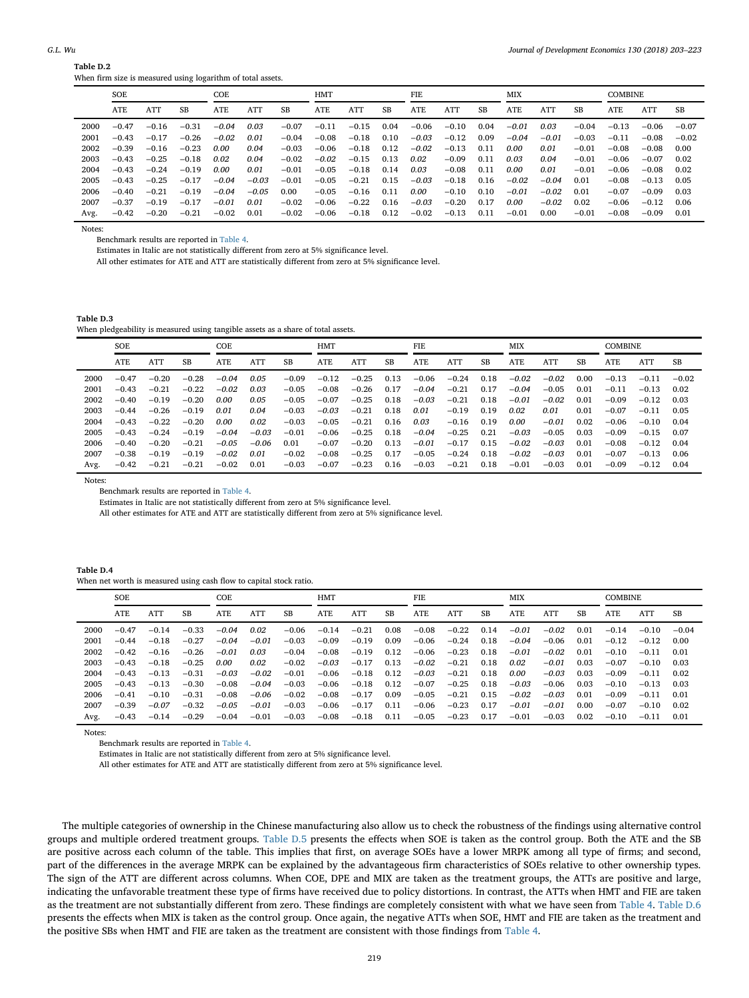| $\boldsymbol{M}$<br>'11<br>v |
|------------------------------|
|                              |

**Table D.2**

|      | When firm size is measured using logarithm of total assets. |            |         |            |         |         |            |            |      |            |            |      |            |         |         |                |         |         |
|------|-------------------------------------------------------------|------------|---------|------------|---------|---------|------------|------------|------|------------|------------|------|------------|---------|---------|----------------|---------|---------|
|      | <b>SOE</b>                                                  |            |         | COE        |         |         | <b>HMT</b> |            |      | <b>FIE</b> |            |      | <b>MIX</b> |         |         | <b>COMBINE</b> |         |         |
|      | ATE                                                         | <b>ATT</b> | SB      | <b>ATE</b> | ATT     | SB      | <b>ATE</b> | <b>ATT</b> | SB   | ATE        | <b>ATT</b> | SB   | ATE        | ATT     | SB      | ATE            | ATT     | SB      |
| 2000 | $-0.47$                                                     | $-0.16$    | $-0.31$ | $-0.04$    | 0.03    | $-0.07$ | $-0.11$    | $-0.15$    | 0.04 | $-0.06$    | $-0.10$    | 0.04 | $-0.01$    | 0.03    | $-0.04$ | $-0.13$        | $-0.06$ | $-0.07$ |
| 2001 | $-0.43$                                                     | $-0.17$    | $-0.26$ | $-0.02$    | 0.01    | $-0.04$ | $-0.08$    | $-0.18$    | 0.10 | $-0.03$    | $-0.12$    | 0.09 | $-0.04$    | $-0.01$ | $-0.03$ | $-0.11$        | $-0.08$ | $-0.02$ |
| 2002 | $-0.39$                                                     | $-0.16$    | $-0.23$ | 0.00       | 0.04    | $-0.03$ | $-0.06$    | $-0.18$    | 0.12 | $-0.02$    | $-0.13$    | 0.11 | 0.00       | 0.01    | $-0.01$ | $-0.08$        | $-0.08$ | 0.00    |
| 2003 | $-0.43$                                                     | $-0.25$    | $-0.18$ | 0.02       | 0.04    | $-0.02$ | $-0.02$    | $-0.15$    | 0.13 | 0.02       | $-0.09$    | 0.11 | 0.03       | 0.04    | $-0.01$ | $-0.06$        | $-0.07$ | 0.02    |
| 2004 | $-0.43$                                                     | $-0.24$    | $-0.19$ | 0.00       | 0.01    | $-0.01$ | $-0.05$    | $-0.18$    | 0.14 | 0.03       | $-0.08$    | 0.11 | 0.00       | 0.01    | $-0.01$ | $-0.06$        | $-0.08$ | 0.02    |
| 2005 | $-0.43$                                                     | $-0.25$    | $-0.17$ | $-0.04$    | $-0.03$ | $-0.01$ | $-0.05$    | $-0.21$    | 0.15 | $-0.03$    | $-0.18$    | 0.16 | $-0.02$    | $-0.04$ | 0.01    | $-0.08$        | $-0.13$ | 0.05    |
| 2006 | $-0.40$                                                     | $-0.21$    | $-0.19$ | $-0.04$    | $-0.05$ | 0.00    | $-0.05$    | $-0.16$    | 0.11 | 0.00       | $-0.10$    | 0.10 | $-0.01$    | $-0.02$ | 0.01    | $-0.07$        | $-0.09$ | 0.03    |
| 2007 | $-0.37$                                                     | $-0.19$    | $-0.17$ | $-0.01$    | 0.01    | $-0.02$ | $-0.06$    | $-0.22$    | 0.16 | $-0.03$    | $-0.20$    | 0.17 | 0.00       | $-0.02$ | 0.02    | $-0.06$        | $-0.12$ | 0.06    |
| Avg. | $-0.42$                                                     | $-0.20$    | $-0.21$ | $-0.02$    | 0.01    | $-0.02$ | $-0.06$    | $-0.18$    | 0.12 | $-0.02$    | $-0.13$    | 0.11 | $-0.01$    | 0.00    | $-0.01$ | $-0.08$        | $-0.09$ | 0.01    |

Notes:

Benchmark results are reported in [Table 4.](#page-10-0)

Estimates in Italic are not statistically different from zero at 5% significance level.

All other estimates for ATE and ATT are statistically different from zero at 5% significance level.

**Table D.3** When pledgeability is measured using tangible assets as a share of total assets.

|      | <b>SOE</b> |            | COE.    |         |         | HMT     |         |         | FIE  |         |         | MIX  |         |            | <b>COMBINE</b> |         |            |         |
|------|------------|------------|---------|---------|---------|---------|---------|---------|------|---------|---------|------|---------|------------|----------------|---------|------------|---------|
|      | ATE        | <b>ATT</b> | SB      | ATE     | ATT     | SB      | ATE     | ATT     | SB   | ATE     | ATT     | SB   | ATE     | <b>ATT</b> | <b>SB</b>      | ATE     | <b>ATT</b> | SB      |
| 2000 | $-0.47$    | $-0.20$    | $-0.28$ | $-0.04$ | 0.05    | $-0.09$ | $-0.12$ | $-0.25$ | 0.13 | $-0.06$ | $-0.24$ | 0.18 | $-0.02$ | $-0.02$    | 0.00           | $-0.13$ | $-0.11$    | $-0.02$ |
| 2001 | $-0.43$    | $-0.21$    | $-0.22$ | $-0.02$ | 0.03    | $-0.05$ | $-0.08$ | $-0.26$ | 0.17 | $-0.04$ | $-0.21$ | 0.17 | $-0.04$ | $-0.05$    | 0.01           | $-0.11$ | $-0.13$    | 0.02    |
| 2002 | $-0.40$    | $-0.19$    | $-0.20$ | 0.00    | 0.05    | $-0.05$ | $-0.07$ | $-0.25$ | 0.18 | $-0.03$ | $-0.21$ | 0.18 | $-0.01$ | $-0.02$    | 0.01           | $-0.09$ | $-0.12$    | 0.03    |
| 2003 | $-0.44$    | $-0.26$    | $-0.19$ | 0.01    | 0.04    | $-0.03$ | $-0.03$ | $-0.21$ | 0.18 | 0.01    | $-0.19$ | 0.19 | 0.02    | 0.01       | 0.01           | $-0.07$ | $-0.11$    | 0.05    |
| 2004 | $-0.43$    | $-0.22$    | $-0.20$ | 0.00    | 0.02    | $-0.03$ | $-0.05$ | $-0.21$ | 0.16 | 0.03    | $-0.16$ | 0.19 | 0.00    | $-0.01$    | 0.02           | $-0.06$ | $-0.10$    | 0.04    |
| 2005 | $-0.43$    | $-0.24$    | $-0.19$ | $-0.04$ | $-0.03$ | $-0.01$ | $-0.06$ | $-0.25$ | 0.18 | $-0.04$ | $-0.25$ | 0.21 | $-0.03$ | $-0.05$    | 0.03           | $-0.09$ | $-0.15$    | 0.07    |
| 2006 | $-0.40$    | $-0.20$    | $-0.21$ | $-0.05$ | $-0.06$ | 0.01    | $-0.07$ | $-0.20$ | 0.13 | $-0.01$ | $-0.17$ | 0.15 | $-0.02$ | $-0.03$    | 0.01           | $-0.08$ | $-0.12$    | 0.04    |
| 2007 | $-0.38$    | $-0.19$    | $-0.19$ | $-0.02$ | 0.01    | $-0.02$ | $-0.08$ | $-0.25$ | 0.17 | $-0.05$ | $-0.24$ | 0.18 | $-0.02$ | $-0.03$    | 0.01           | $-0.07$ | $-0.13$    | 0.06    |
| Avg. | $-0.42$    | $-0.21$    | $-0.21$ | $-0.02$ | 0.01    | $-0.03$ | $-0.07$ | $-0.23$ | 0.16 | $-0.03$ | $-0.21$ | 0.18 | $-0.01$ | $-0.03$    | 0.01           | $-0.09$ | $-0.12$    | 0.04    |

Notes:

Benchmark results are reported in [Table 4.](#page-10-0)

Estimates in Italic are not statistically different from zero at 5% significance level.

All other estimates for ATE and ATT are statistically different from zero at 5% significance level.

| Table D.4                                                          |  |  |  |
|--------------------------------------------------------------------|--|--|--|
| When net worth is measured using cash flow to capital stock ratio. |  |  |  |

|      | <b>SOE</b> |         |           | COE     |         |         | HMT     |            |      | FIE     |            |      | MIX     |         |      | <b>COMBINE</b> |         |         |
|------|------------|---------|-----------|---------|---------|---------|---------|------------|------|---------|------------|------|---------|---------|------|----------------|---------|---------|
|      | ATE        | ATT     | <b>SB</b> | ATE     | ATT     | SB      | ATE     | <b>ATT</b> | SB   | ATE     | <b>ATT</b> | SB   | ATE     | ATT     | SB   | ATE            | ATT     | SB      |
| 2000 | $-0.47$    | $-0.14$ | $-0.33$   | $-0.04$ | 0.02    | $-0.06$ | $-0.14$ | $-0.21$    | 0.08 | $-0.08$ | $-0.22$    | 0.14 | $-0.01$ | $-0.02$ | 0.01 | $-0.14$        | $-0.10$ | $-0.04$ |
| 2001 | $-0.44$    | $-0.18$ | $-0.27$   | $-0.04$ | $-0.01$ | $-0.03$ | $-0.09$ | $-0.19$    | 0.09 | $-0.06$ | $-0.24$    | 0.18 | $-0.04$ | $-0.06$ | 0.01 | $-0.12$        | $-0.12$ | 0.00    |
| 2002 | $-0.42$    | $-0.16$ | $-0.26$   | $-0.01$ | 0.03    | $-0.04$ | $-0.08$ | $-0.19$    | 0.12 | $-0.06$ | $-0.23$    | 0.18 | $-0.01$ | $-0.02$ | 0.01 | $-0.10$        | $-0.11$ | 0.01    |
| 2003 | $-0.43$    | $-0.18$ | $-0.25$   | 0.00    | 0.02    | $-0.02$ | $-0.03$ | $-0.17$    | 0.13 | $-0.02$ | $-0.21$    | 0.18 | 0.02    | $-0.01$ | 0.03 | $-0.07$        | $-0.10$ | 0.03    |
| 2004 | $-0.43$    | $-0.13$ | $-0.31$   | $-0.03$ | $-0.02$ | $-0.01$ | $-0.06$ | $-0.18$    | 0.12 | $-0.03$ | $-0.21$    | 0.18 | 0.00    | $-0.03$ | 0.03 | $-0.09$        | $-0.11$ | 0.02    |
| 2005 | $-0.43$    | $-0.13$ | $-0.30$   | $-0.08$ | $-0.04$ | $-0.03$ | $-0.06$ | $-0.18$    | 0.12 | $-0.07$ | $-0.25$    | 0.18 | $-0.03$ | $-0.06$ | 0.03 | $-0.10$        | $-0.13$ | 0.03    |
| 2006 | $-0.41$    | $-0.10$ | $-0.31$   | $-0.08$ | $-0.06$ | $-0.02$ | $-0.08$ | $-0.17$    | 0.09 | $-0.05$ | $-0.21$    | 0.15 | $-0.02$ | $-0.03$ | 0.01 | $-0.09$        | $-0.11$ | 0.01    |
| 2007 | $-0.39$    | $-0.07$ | $-0.32$   | $-0.05$ | $-0.01$ | $-0.03$ | $-0.06$ | $-0.17$    | 0.11 | $-0.06$ | $-0.23$    | 0.17 | $-0.01$ | $-0.01$ | 0.00 | $-0.07$        | $-0.10$ | 0.02    |
| Avg. | $-0.43$    | $-0.14$ | $-0.29$   | $-0.04$ | $-0.01$ | $-0.03$ | $-0.08$ | $-0.18$    | 0.11 | $-0.05$ | $-0.23$    | 0.17 | $-0.01$ | $-0.03$ | 0.02 | $-0.10$        | $-0.11$ | 0.01    |

Notes:

Benchmark results are reported in [Table 4.](#page-10-0)

Estimates in Italic are not statistically different from zero at 5% significance level.

All other estimates for ATE and ATT are statistically different from zero at 5% significance level.

The multiple categories of ownership in the Chinese manufacturing also allow us to check the robustness of the findings using alternative control groups and multiple ordered treatment groups. [Table D.5](#page-13-0) presents the effects when SOE is taken as the control group. Both the ATE and the SB are positive across each column of the table. This implies that first, on average SOEs have a lower MRPK among all type of firms; and second, part of the differences in the average MRPK can be explained by the advantageous firm characteristics of SOEs relative to other ownership types. The sign of the ATT are different across columns. When COE, DPE and MIX are taken as the treatment groups, the ATTs are positive and large, indicating the unfavorable treatment these type of firms have received due to policy distortions. In contrast, the ATTs when HMT and FIE are taken as the treatment are not substantially different from zero. These findings are completely consistent with what we have seen from [Table 4.](#page-10-0) [Table D.6](#page-13-0) presents the effects when MIX is taken as the control group. Once again, the negative ATTs when SOE, HMT and FIE are taken as the treatment and the positive SBs when HMT and FIE are taken as the treatment are consistent with those findings from [Table 4.](#page-10-0)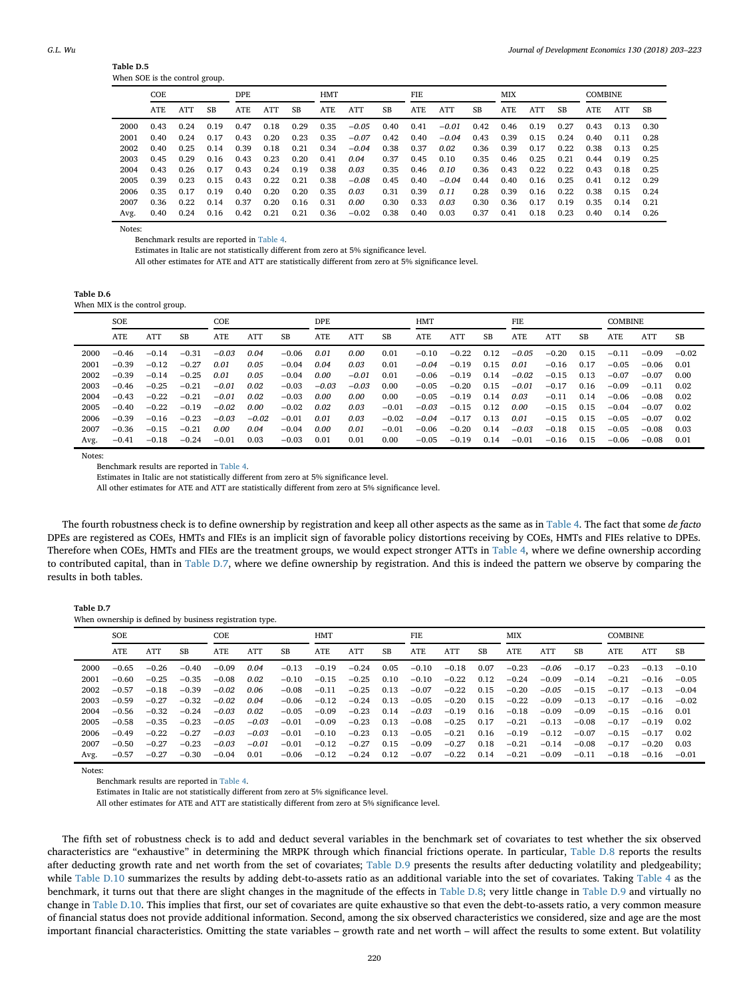| 1001 U.U |  |                                |  |
|----------|--|--------------------------------|--|
|          |  | When SOE is the control group. |  |

|      | COE. |            |           | DPE. |      |      | <b>HMT</b> |         |      | FIE. |         |      | <b>MIX</b> |            |           | <b>COMBINE</b> |      |           |
|------|------|------------|-----------|------|------|------|------------|---------|------|------|---------|------|------------|------------|-----------|----------------|------|-----------|
|      | ATE. | <b>ATT</b> | <b>SB</b> | ATE  | ATT  | SB   | ATE        | ATT     | SB   | ATE  | ATT     | SB   | ATE.       | <b>ATT</b> | <b>SB</b> | ATE.           | ATT  | <b>SB</b> |
| 2000 | 0.43 | 0.24       | 0.19      | 0.47 | 0.18 | 0.29 | 0.35       | $-0.05$ | 0.40 | 0.41 | $-0.01$ | 0.42 | 0.46       | 0.19       | 0.27      | 0.43           | 0.13 | 0.30      |
| 2001 | 0.40 | 0.24       | 0.17      | 0.43 | 0.20 | 0.23 | 0.35       | $-0.07$ | 0.42 | 0.40 | $-0.04$ | 0.43 | 0.39       | 0.15       | 0.24      | 0.40           | 0.11 | 0.28      |
| 2002 | 0.40 | 0.25       | 0.14      | 0.39 | 0.18 | 0.21 | 0.34       | $-0.04$ | 0.38 | 0.37 | 0.02    | 0.36 | 0.39       | 0.17       | 0.22      | 0.38           | 0.13 | 0.25      |
| 2003 | 0.45 | 0.29       | 0.16      | 0.43 | 0.23 | 0.20 | 0.41       | 0.04    | 0.37 | 0.45 | 0.10    | 0.35 | 0.46       | 0.25       | 0.21      | 0.44           | 0.19 | 0.25      |
| 2004 | 0.43 | 0.26       | 0.17      | 0.43 | 0.24 | 0.19 | 0.38       | 0.03    | 0.35 | 0.46 | 0.10    | 0.36 | 0.43       | 0.22       | 0.22      | 0.43           | 0.18 | 0.25      |
| 2005 | 0.39 | 0.23       | 0.15      | 0.43 | 0.22 | 0.21 | 0.38       | $-0.08$ | 0.45 | 0.40 | $-0.04$ | 0.44 | 0.40       | 0.16       | 0.25      | 0.41           | 0.12 | 0.29      |
| 2006 | 0.35 | 0.17       | 0.19      | 0.40 | 0.20 | 0.20 | 0.35       | 0.03    | 0.31 | 0.39 | 0.11    | 0.28 | 0.39       | 0.16       | 0.22      | 0.38           | 0.15 | 0.24      |
| 2007 | 0.36 | 0.22       | 0.14      | 0.37 | 0.20 | 0.16 | 0.31       | 0.00    | 0.30 | 0.33 | 0.03    | 0.30 | 0.36       | 0.17       | 0.19      | 0.35           | 0.14 | 0.21      |
| Avg. | 0.40 | 0.24       | 0.16      | 0.42 | 0.21 | 0.21 | 0.36       | $-0.02$ | 0.38 | 0.40 | 0.03    | 0.37 | 0.41       | 0.18       | 0.23      | 0.40           | 0.14 | 0.26      |

Notes:

**Table D.5**

Benchmark results are reported in [Table 4.](#page-10-0)

Estimates in Italic are not statistically different from zero at 5% significance level.

All other estimates for ATE and ATT are statistically different from zero at 5% significance level.

| Table D.6 |                                |  |
|-----------|--------------------------------|--|
|           | When MIX is the control group. |  |

|      | <b>SOE</b> |         |           | COE        |         |         | DPE.    |         |         | HMT     |         |      | FIE     |            |      | <b>COMBINE</b> |         |         |
|------|------------|---------|-----------|------------|---------|---------|---------|---------|---------|---------|---------|------|---------|------------|------|----------------|---------|---------|
|      | ATE        | ATT     | <b>SB</b> | <b>ATE</b> | ATT     | SB      | ATE     | ATT     | SB      | ATE     | ATT     | SB   | ATE     | <b>ATT</b> | SB   | ATE            | ATT     | SB      |
| 2000 | $-0.46$    | $-0.14$ | $-0.31$   | $-0.03$    | 0.04    | $-0.06$ | 0.01    | 0.00    | 0.01    | $-0.10$ | $-0.22$ | 0.12 | $-0.05$ | $-0.20$    | 0.15 | $-0.11$        | $-0.09$ | $-0.02$ |
| 2001 | $-0.39$    | $-0.12$ | $-0.27$   | 0.01       | 0.05    | $-0.04$ | 0.04    | 0.03    | 0.01    | $-0.04$ | $-0.19$ | 0.15 | 0.01    | $-0.16$    | 0.17 | $-0.05$        | $-0.06$ | 0.01    |
| 2002 | $-0.39$    | $-0.14$ | $-0.25$   | 0.01       | 0.05    | $-0.04$ | 0.00    | $-0.01$ | 0.01    | $-0.06$ | $-0.19$ | 0.14 | $-0.02$ | $-0.15$    | 0.13 | $-0.07$        | $-0.07$ | 0.00    |
| 2003 | $-0.46$    | $-0.25$ | $-0.21$   | $-0.01$    | 0.02    | $-0.03$ | $-0.03$ | $-0.03$ | 0.00    | $-0.05$ | $-0.20$ | 0.15 | $-0.01$ | $-0.17$    | 0.16 | $-0.09$        | $-0.11$ | 0.02    |
| 2004 | $-0.43$    | $-0.22$ | $-0.21$   | $-0.01$    | 0.02    | $-0.03$ | 0.00    | 0.00    | 0.00    | $-0.05$ | $-0.19$ | 0.14 | 0.03    | $-0.11$    | 0.14 | $-0.06$        | $-0.08$ | 0.02    |
| 2005 | $-0.40$    | $-0.22$ | $-0.19$   | $-0.02$    | 0.00    | $-0.02$ | 0.02    | 0.03    | $-0.01$ | $-0.03$ | $-0.15$ | 0.12 | 0.00    | $-0.15$    | 0.15 | $-0.04$        | $-0.07$ | 0.02    |
| 2006 | $-0.39$    | $-0.16$ | $-0.23$   | $-0.03$    | $-0.02$ | $-0.01$ | 0.01    | 0.03    | $-0.02$ | $-0.04$ | $-0.17$ | 0.13 | 0.01    | $-0.15$    | 0.15 | $-0.05$        | $-0.07$ | 0.02    |
| 2007 | $-0.36$    | $-0.15$ | $-0.21$   | 0.00       | 0.04    | $-0.04$ | 0.00    | 0.01    | $-0.01$ | $-0.06$ | $-0.20$ | 0.14 | $-0.03$ | $-0.18$    | 0.15 | $-0.05$        | $-0.08$ | 0.03    |
| Avg. | $-0.41$    | $-0.18$ | $-0.24$   | $-0.01$    | 0.03    | $-0.03$ | 0.01    | 0.01    | 0.00    | $-0.05$ | $-0.19$ | 0.14 | $-0.01$ | $-0.16$    | 0.15 | $-0.06$        | $-0.08$ | 0.01    |

Notes:

Benchmark results are reported in [Table 4.](#page-10-0)

Estimates in Italic are not statistically different from zero at 5% significance level.

All other estimates for ATE and ATT are statistically different from zero at 5% significance level.

The fourth robustness check is to define ownership by registration and keep all other aspects as the same as in [Table 4.](#page-10-0) The fact that some *de facto* DPEs are registered as COEs, HMTs and FIEs is an implicit sign of favorable policy distortions receiving by COEs, HMTs and FIEs relative to DPEs. Therefore when COEs, HMTs and FIEs are the treatment groups, we would expect stronger ATTs in [Table 4,](#page-10-0) where we define ownership according to contributed capital, than in [Table D.7,](#page-13-0) where we define ownership by registration. And this is indeed the pattern we observe by comparing the results in both tables.

| Table D.7                                                |  |  |
|----------------------------------------------------------|--|--|
| When ownership is defined by business registration type. |  |  |

|      | <b>SOE</b> |         |         | COE        |         |         | <b>HMT</b> |         |      | FIE     |         | <b>MIX</b> |            |         | <b>COMBINE</b> |         |         |         |
|------|------------|---------|---------|------------|---------|---------|------------|---------|------|---------|---------|------------|------------|---------|----------------|---------|---------|---------|
|      | <b>ATE</b> | ATT     | SB      | <b>ATE</b> | ATT     | SB      | <b>ATE</b> | ATT     | SB   | ATE     | ATI     | SB         | <b>ATE</b> | ATT     | SB             | ATE     | ATT     | SB      |
| 2000 | $-0.65$    | $-0.26$ | $-0.40$ | $-0.09$    | 0.04    | $-0.13$ | $-0.19$    | $-0.24$ | 0.05 | $-0.10$ | $-0.18$ | 0.07       | $-0.23$    | $-0.06$ | $-0.17$        | $-0.23$ | $-0.13$ | $-0.10$ |
| 2001 | $-0.60$    | $-0.25$ | $-0.35$ | $-0.08$    | 0.02    | $-0.10$ | $-0.15$    | $-0.25$ | 0.10 | $-0.10$ | $-0.22$ | 0.12       | $-0.24$    | $-0.09$ | $-0.14$        | $-0.21$ | $-0.16$ | $-0.05$ |
| 2002 | $-0.57$    | $-0.18$ | $-0.39$ | $-0.02$    | 0.06    | $-0.08$ | $-0.11$    | $-0.25$ | 0.13 | $-0.07$ | $-0.22$ | 0.15       | $-0.20$    | $-0.05$ | $-0.15$        | $-0.17$ | $-0.13$ | $-0.04$ |
| 2003 | $-0.59$    | $-0.27$ | $-0.32$ | $-0.02$    | 0.04    | $-0.06$ | $-0.12$    | $-0.24$ | 0.13 | $-0.05$ | $-0.20$ | 0.15       | $-0.22$    | $-0.09$ | $-0.13$        | $-0.17$ | $-0.16$ | $-0.02$ |
| 2004 | $-0.56$    | $-0.32$ | $-0.24$ | $-0.03$    | 0.02    | $-0.05$ | $-0.09$    | $-0.23$ | 0.14 | $-0.03$ | $-0.19$ | 0.16       | $-0.18$    | $-0.09$ | $-0.09$        | $-0.15$ | $-0.16$ | 0.01    |
| 2005 | $-0.58$    | $-0.35$ | $-0.23$ | $-0.05$    | $-0.03$ | $-0.01$ | $-0.09$    | $-0.23$ | 0.13 | $-0.08$ | $-0.25$ | 0.17       | $-0.21$    | $-0.13$ | $-0.08$        | $-0.17$ | $-0.19$ | 0.02    |
| 2006 | $-0.49$    | $-0.22$ | $-0.27$ | $-0.03$    | $-0.03$ | $-0.01$ | $-0.10$    | $-0.23$ | 0.13 | $-0.05$ | $-0.21$ | 0.16       | $-0.19$    | $-0.12$ | $-0.07$        | $-0.15$ | $-0.17$ | 0.02    |
| 2007 | $-0.50$    | $-0.27$ | $-0.23$ | $-0.03$    | $-0.01$ | $-0.01$ | $-0.12$    | $-0.27$ | 0.15 | $-0.09$ | $-0.27$ | 0.18       | $-0.21$    | $-0.14$ | $-0.08$        | $-0.17$ | $-0.20$ | 0.03    |
| Avg. | $-0.57$    | $-0.27$ | $-0.30$ | $-0.04$    | 0.01    | $-0.06$ | $-0.12$    | $-0.24$ | 0.12 | $-0.07$ | $-0.22$ | 0.14       | $-0.21$    | $-0.09$ | $-0.11$        | $-0.18$ | $-0.16$ | $-0.01$ |

Notes:

Benchmark results are reported in [Table 4.](#page-10-0)

Estimates in Italic are not statistically different from zero at 5% significance level.

All other estimates for ATE and ATT are statistically different from zero at 5% significance level.

The fifth set of robustness check is to add and deduct several variables in the benchmark set of covariates to test whether the six observed characteristics are "exhaustive" in determining the MRPK through which financial frictions operate. In particular, [Table D.8](#page-13-0) reports the results after deducting growth rate and net worth from the set of covariates; [Table D.9](#page-13-0) presents the results after deducting volatility and pledgeability; while [Table D.10](#page-13-0) summarizes the results by adding debt-to-assets ratio as an additional variable into the set of covariates. Taking [Table 4](#page-10-0) as the benchmark, it turns out that there are slight changes in the magnitude of the effects in [Table D.8;](#page-13-0) very little change in [Table D.9](#page-13-0) and virtually no change in [Table D.10.](#page-13-0) This implies that first, our set of covariates are quite exhaustive so that even the debt-to-assets ratio, a very common measure of financial status does not provide additional information. Second, among the six observed characteristics we considered, size and age are the most important financial characteristics. Omitting the state variables – growth rate and net worth – will affect the results to some extent. But volatility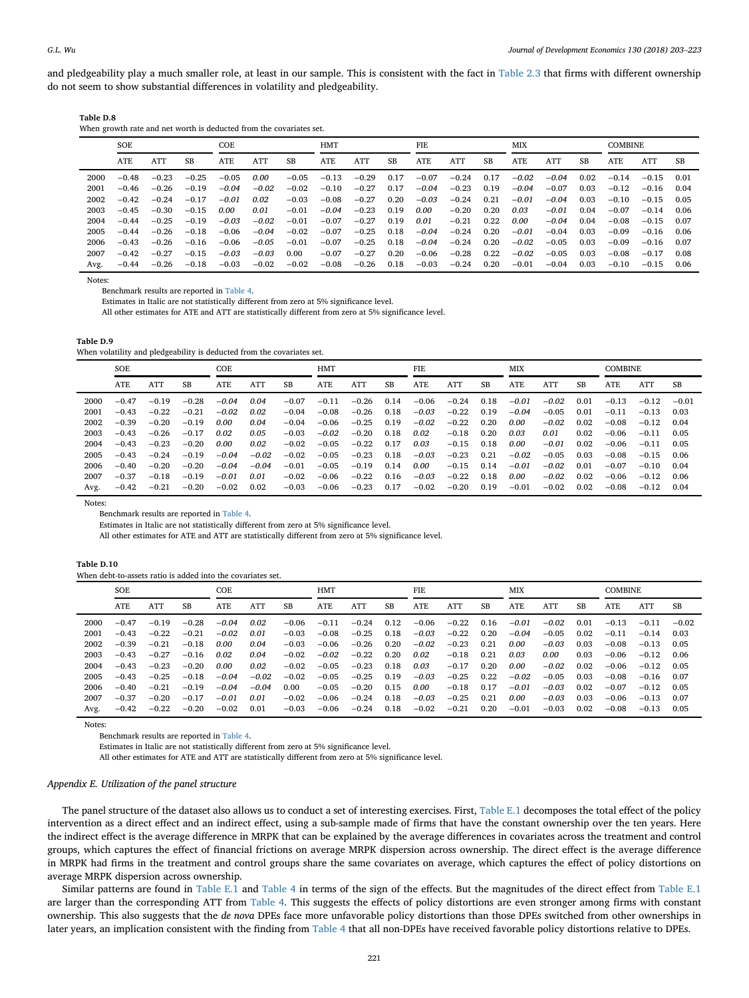and pledgeability play a much smaller role, at least in our sample. This is consistent with the fact in [Table 2.3](#page-6-1) that firms with different ownership do not seem to show substantial differences in volatility and pledgeability.

| Table D.8 |  |
|-----------|--|
|           |  |

| When growth rate and net worth is deducted from the covariates set. |
|---------------------------------------------------------------------|
|---------------------------------------------------------------------|

|      | SOE.    |         | COE     |         |         | <b>HMT</b> |            |         | FIE. |            | MIX     |           |         | <b>COMBINE</b> |      |         |         |      |
|------|---------|---------|---------|---------|---------|------------|------------|---------|------|------------|---------|-----------|---------|----------------|------|---------|---------|------|
|      | ATE     | ATT     | SB      | ATE     | ATT     | SB         | <b>ATE</b> | ATT     | SB   | <b>ATE</b> | ATT     | <b>SB</b> | ATE     | ATT            | SB   | ATE     | ATT     | SB   |
| 2000 | $-0.48$ | $-0.23$ | $-0.25$ | $-0.05$ | 0.00    | $-0.05$    | $-0.13$    | $-0.29$ | 0.17 | $-0.07$    | $-0.24$ | 0.17      | $-0.02$ | $-0.04$        | 0.02 | $-0.14$ | $-0.15$ | 0.01 |
| 2001 | $-0.46$ | $-0.26$ | $-0.19$ | $-0.04$ | $-0.02$ | $-0.02$    | $-0.10$    | $-0.27$ | 0.17 | $-0.04$    | $-0.23$ | 0.19      | $-0.04$ | $-0.07$        | 0.03 | $-0.12$ | $-0.16$ | 0.04 |
| 2002 | $-0.42$ | $-0.24$ | $-0.17$ | $-0.01$ | 0.02    | $-0.03$    | $-0.08$    | $-0.27$ | 0.20 | $-0.03$    | $-0.24$ | 0.21      | $-0.01$ | $-0.04$        | 0.03 | $-0.10$ | $-0.15$ | 0.05 |
| 2003 | $-0.45$ | $-0.30$ | $-0.15$ | 0.00    | 0.01    | $-0.01$    | $-0.04$    | $-0.23$ | 0.19 | 0.00       | $-0.20$ | 0.20      | 0.03    | $-0.01$        | 0.04 | $-0.07$ | $-0.14$ | 0.06 |
| 2004 | $-0.44$ | $-0.25$ | $-0.19$ | $-0.03$ | $-0.02$ | $-0.01$    | $-0.07$    | $-0.27$ | 0.19 | 0.01       | $-0.21$ | 0.22      | 0.00    | $-0.04$        | 0.04 | $-0.08$ | $-0.15$ | 0.07 |
| 2005 | $-0.44$ | $-0.26$ | $-0.18$ | $-0.06$ | $-0.04$ | $-0.02$    | $-0.07$    | $-0.25$ | 0.18 | $-0.04$    | $-0.24$ | 0.20      | $-0.01$ | $-0.04$        | 0.03 | $-0.09$ | $-0.16$ | 0.06 |
| 2006 | $-0.43$ | $-0.26$ | $-0.16$ | $-0.06$ | $-0.05$ | $-0.01$    | $-0.07$    | $-0.25$ | 0.18 | $-0.04$    | $-0.24$ | 0.20      | $-0.02$ | $-0.05$        | 0.03 | $-0.09$ | $-0.16$ | 0.07 |
| 2007 | $-0.42$ | $-0.27$ | $-0.15$ | $-0.03$ | $-0.03$ | 0.00       | $-0.07$    | $-0.27$ | 0.20 | $-0.06$    | $-0.28$ | 0.22      | $-0.02$ | $-0.05$        | 0.03 | $-0.08$ | $-0.17$ | 0.08 |
| Avg. | $-0.44$ | $-0.26$ | $-0.18$ | $-0.03$ | $-0.02$ | $-0.02$    | $-0.08$    | $-0.26$ | 0.18 | $-0.03$    | $-0.24$ | 0.20      | $-0.01$ | $-0.04$        | 0.03 | $-0.10$ | $-0.15$ | 0.06 |

Notes:

Benchmark results are reported in [Table 4.](#page-10-0)

Estimates in Italic are not statistically different from zero at 5% significance level.

All other estimates for ATE and ATT are statistically different from zero at 5% significance level.

**Table D.9**

When volatility and pledgeability is deducted from the covariates set.

|      | <b>SOE</b> |         |         | COE     |         |         | HMT     |         |      | FIE     |         |      | MIX     |         |      | <b>COMBINE</b> |         |         |
|------|------------|---------|---------|---------|---------|---------|---------|---------|------|---------|---------|------|---------|---------|------|----------------|---------|---------|
|      | ATE        | ATT     | SB      | ATE     | ATT     | SB      | ATE     | ATT     | SB   | ATE     | ATT     | SB   | ATE     | ATT     | SB   | ATE            | ATT     | SB      |
| 2000 | $-0.47$    | $-0.19$ | $-0.28$ | $-0.04$ | 0.04    | $-0.07$ | $-0.11$ | $-0.26$ | 0.14 | $-0.06$ | $-0.24$ | 0.18 | $-0.01$ | $-0.02$ | 0.01 | $-0.13$        | $-0.12$ | $-0.01$ |
| 2001 | $-0.43$    | $-0.22$ | $-0.21$ | $-0.02$ | 0.02    | $-0.04$ | $-0.08$ | $-0.26$ | 0.18 | $-0.03$ | $-0.22$ | 0.19 | $-0.04$ | $-0.05$ | 0.01 | $-0.11$        | $-0.13$ | 0.03    |
| 2002 | $-0.39$    | $-0.20$ | $-0.19$ | 0.00    | 0.04    | $-0.04$ | $-0.06$ | $-0.25$ | 0.19 | $-0.02$ | $-0.22$ | 0.20 | 0.00    | $-0.02$ | 0.02 | $-0.08$        | $-0.12$ | 0.04    |
| 2003 | $-0.43$    | $-0.26$ | $-0.17$ | 0.02    | 0.05    | $-0.03$ | $-0.02$ | $-0.20$ | 0.18 | 0.02    | $-0.18$ | 0.20 | 0.03    | 0.01    | 0.02 | $-0.06$        | $-0.11$ | 0.05    |
| 2004 | $-0.43$    | $-0.23$ | $-0.20$ | 0.00    | 0.02    | $-0.02$ | $-0.05$ | $-0.22$ | 0.17 | 0.03    | $-0.15$ | 0.18 | 0.00    | $-0.01$ | 0.02 | $-0.06$        | $-0.11$ | 0.05    |
| 2005 | $-0.43$    | $-0.24$ | $-0.19$ | $-0.04$ | $-0.02$ | $-0.02$ | $-0.05$ | $-0.23$ | 0.18 | $-0.03$ | $-0.23$ | 0.21 | $-0.02$ | $-0.05$ | 0.03 | $-0.08$        | $-0.15$ | 0.06    |
| 2006 | $-0.40$    | $-0.20$ | $-0.20$ | $-0.04$ | $-0.04$ | $-0.01$ | $-0.05$ | $-0.19$ | 0.14 | 0.00    | $-0.15$ | 0.14 | $-0.01$ | $-0.02$ | 0.01 | $-0.07$        | $-0.10$ | 0.04    |
| 2007 | $-0.37$    | $-0.18$ | $-0.19$ | $-0.01$ | 0.01    | $-0.02$ | $-0.06$ | $-0.22$ | 0.16 | $-0.03$ | $-0.22$ | 0.18 | 0.00    | $-0.02$ | 0.02 | $-0.06$        | $-0.12$ | 0.06    |
| Avg. | $-0.42$    | $-0.21$ | $-0.20$ | $-0.02$ | 0.02    | $-0.03$ | $-0.06$ | $-0.23$ | 0.17 | $-0.02$ | $-0.20$ | 0.19 | $-0.01$ | $-0.02$ | 0.02 | $-0.08$        | $-0.12$ | 0.04    |

Notes:

Benchmark results are reported in [Table 4.](#page-10-0)

Estimates in Italic are not statistically different from zero at 5% significance level.

All other estimates for ATE and ATT are statistically different from zero at 5% significance level.

#### **Table D.10**

|      | <b>SOE</b> |         |           | COE        |         |         | HMT     |            |           |         | FIE     |      |            | MIX        |           |         | <b>COMBINE</b> |         |  |
|------|------------|---------|-----------|------------|---------|---------|---------|------------|-----------|---------|---------|------|------------|------------|-----------|---------|----------------|---------|--|
|      | <b>ATE</b> | ATT     | <b>SB</b> | <b>ATE</b> | ATT     | SB      | ATE     | <b>ATT</b> | <b>SB</b> | ATE     | ATT     | SB   | <b>ATE</b> | <b>ATT</b> | <b>SB</b> | ATE     | ATT            | SB      |  |
| 2000 | $-0.47$    | $-0.19$ | $-0.28$   | $-0.04$    | 0.02    | $-0.06$ | $-0.11$ | $-0.24$    | 0.12      | $-0.06$ | $-0.22$ | 0.16 | $-0.01$    | $-0.02$    | 0.01      | $-0.13$ | $-0.11$        | $-0.02$ |  |
| 2001 | $-0.43$    | $-0.22$ | $-0.21$   | $-0.02$    | 0.01    | $-0.03$ | $-0.08$ | $-0.25$    | 0.18      | $-0.03$ | $-0.22$ | 0.20 | $-0.04$    | $-0.05$    | 0.02      | $-0.11$ | $-0.14$        | 0.03    |  |
| 2002 | $-0.39$    | $-0.21$ | $-0.18$   | 0.00       | 0.04    | $-0.03$ | $-0.06$ | $-0.26$    | 0.20      | $-0.02$ | $-0.23$ | 0.21 | 0.00       | $-0.03$    | 0.03      | $-0.08$ | $-0.13$        | 0.05    |  |
| 2003 | $-0.43$    | $-0.27$ | $-0.16$   | 0.02       | 0.04    | $-0.02$ | $-0.02$ | $-0.22$    | 0.20      | 0.02    | $-0.18$ | 0.21 | 0.03       | 0.00       | 0.03      | $-0.06$ | $-0.12$        | 0.06    |  |
| 2004 | $-0.43$    | $-0.23$ | $-0.20$   | 0.00       | 0.02    | $-0.02$ | $-0.05$ | $-0.23$    | 0.18      | 0.03    | $-0.17$ | 0.20 | 0.00       | $-0.02$    | 0.02      | $-0.06$ | $-0.12$        | 0.05    |  |
| 2005 | $-0.43$    | $-0.25$ | $-0.18$   | $-0.04$    | $-0.02$ | $-0.02$ | $-0.05$ | $-0.25$    | 0.19      | $-0.03$ | $-0.25$ | 0.22 | $-0.02$    | $-0.05$    | 0.03      | $-0.08$ | $-0.16$        | 0.07    |  |
| 2006 | $-0.40$    | $-0.21$ | $-0.19$   | $-0.04$    | $-0.04$ | 0.00    | $-0.05$ | $-0.20$    | 0.15      | 0.00    | $-0.18$ | 0.17 | $-0.01$    | $-0.03$    | 0.02      | $-0.07$ | $-0.12$        | 0.05    |  |
| 2007 | $-0.37$    | $-0.20$ | $-0.17$   | $-0.01$    | 0.01    | $-0.02$ | $-0.06$ | $-0.24$    | 0.18      | $-0.03$ | $-0.25$ | 0.21 | 0.00       | $-0.03$    | 0.03      | $-0.06$ | $-0.13$        | 0.07    |  |
| Avg. | $-0.42$    | $-0.22$ | $-0.20$   | $-0.02$    | 0.01    | $-0.03$ | $-0.06$ | $-0.24$    | 0.18      | $-0.02$ | $-0.21$ | 0.20 | $-0.01$    | $-0.03$    | 0.02      | $-0.08$ | $-0.13$        | 0.05    |  |

Notes:

Benchmark results are reported in [Table 4.](#page-10-0)

Estimates in Italic are not statistically different from zero at 5% significance level.

All other estimates for ATE and ATT are statistically different from zero at 5% significance level.

#### *Appendix E. Utilization of the panel structure*

The panel structure of the dataset also allows us to conduct a set of interesting exercises. First, [Table E.1](#page-13-0) decomposes the total effect of the policy intervention as a direct effect and an indirect effect, using a sub-sample made of firms that have the constant ownership over the ten years. Here the indirect effect is the average difference in MRPK that can be explained by the average differences in covariates across the treatment and control groups, which captures the effect of financial frictions on average MRPK dispersion across ownership. The direct effect is the average difference in MRPK had firms in the treatment and control groups share the same covariates on average, which captures the effect of policy distortions on average MRPK dispersion across ownership.

Similar patterns are found in [Table E.1](#page-13-0) and [Table 4](#page-10-0) in terms of the sign of the effects. But the magnitudes of the direct effect from [Table E.1](#page-13-0) are larger than the corresponding ATT from [Table 4.](#page-10-0) This suggests the effects of policy distortions are even stronger among firms with constant ownership. This also suggests that the *de nova* DPEs face more unfavorable policy distortions than those DPEs switched from other ownerships in later years, an implication consistent with the finding from [Table 4](#page-10-0) that all non-DPEs have received favorable policy distortions relative to DPEs.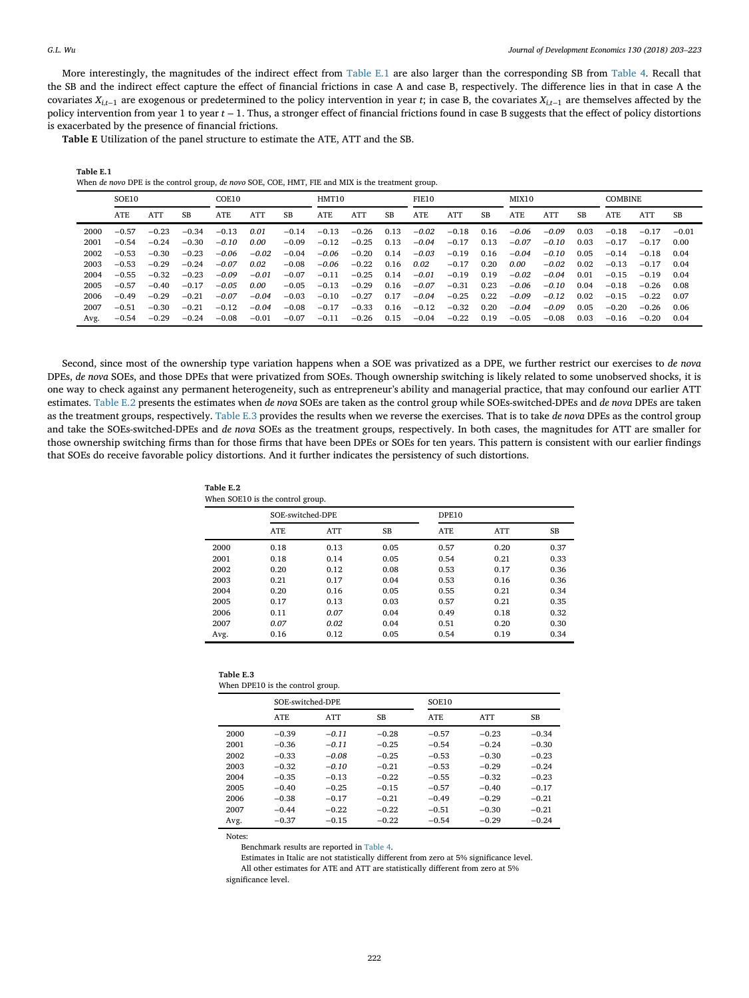More interestingly, the magnitudes of the indirect effect from [Table E.1](#page-13-0) are also larger than the corresponding SB from [Table 4.](#page-10-0) Recall that the SB and the indirect effect capture the effect of financial frictions in case A and case B, respectively. The difference lies in that in case A the covariates *Xi,t*−<sup>1</sup> are exogenous or predetermined to the policy intervention in year *t*; in case B, the covariates *Xi,t*−<sup>1</sup> are themselves affected by the policy intervention from year 1 to year *t* − 1. Thus, a stronger effect of financial frictions found in case B suggests that the effect of policy distortions is exacerbated by the presence of financial frictions.

**Table E** Utilization of the panel structure to estimate the ATE, ATT and the SB.

| Table E.1                                                                                         |  |
|---------------------------------------------------------------------------------------------------|--|
| When de novo DPE is the control group, de novo SOE, COE, HMT, FIE and MIX is the treatment group. |  |

|      | SOE10   |            | COE10   |            | HMT10      |         | FIE10      |            | MIX10 |            | <b>COMBINE</b> |      |            |            |      |            |         |         |
|------|---------|------------|---------|------------|------------|---------|------------|------------|-------|------------|----------------|------|------------|------------|------|------------|---------|---------|
|      | ATE     | <b>ATT</b> | SB      | <b>ATE</b> | <b>ATT</b> | SB      | <b>ATE</b> | <b>ATT</b> | SB    | <b>ATE</b> | ATT            | SB   | <b>ATE</b> | <b>ATT</b> | SB   | <b>ATE</b> | ATT     | SB      |
| 2000 | $-0.57$ | $-0.23$    | $-0.34$ | $-0.13$    | 0.01       | $-0.14$ | $-0.13$    | $-0.26$    | 0.13  | $-0.02$    | $-0.18$        | 0.16 | $-0.06$    | $-0.09$    | 0.03 | $-0.18$    | $-0.17$ | $-0.01$ |
| 2001 | $-0.54$ | $-0.24$    | $-0.30$ | $-0.10$    | 0.00       | $-0.09$ | $-0.12$    | $-0.25$    | 0.13  | $-0.04$    | $-0.17$        | 0.13 | $-0.07$    | $-0.10$    | 0.03 | $-0.17$    | $-0.17$ | 0.00    |
| 2002 | $-0.53$ | $-0.30$    | $-0.23$ | $-0.06$    | $-0.02$    | $-0.04$ | $-0.06$    | $-0.20$    | 0.14  | $-0.03$    | $-0.19$        | 0.16 | $-0.04$    | $-0.10$    | 0.05 | $-0.14$    | $-0.18$ | 0.04    |
| 2003 | $-0.53$ | $-0.29$    | $-0.24$ | $-0.07$    | 0.02       | $-0.08$ | $-0.06$    | $-0.22$    | 0.16  | 0.02       | $-0.17$        | 0.20 | 0.00       | $-0.02$    | 0.02 | $-0.13$    | $-0.17$ | 0.04    |
| 2004 | $-0.55$ | $-0.32$    | $-0.23$ | $-0.09$    | $-0.01$    | $-0.07$ | $-0.11$    | $-0.25$    | 0.14  | $-0.01$    | $-0.19$        | 0.19 | $-0.02$    | $-0.04$    | 0.01 | $-0.15$    | $-0.19$ | 0.04    |
| 2005 | $-0.57$ | $-0.40$    | $-0.17$ | $-0.05$    | 0.00       | $-0.05$ | $-0.13$    | $-0.29$    | 0.16  | $-0.07$    | $-0.31$        | 0.23 | $-0.06$    | $-0.10$    | 0.04 | $-0.18$    | $-0.26$ | 0.08    |
| 2006 | $-0.49$ | $-0.29$    | $-0.21$ | $-0.07$    | $-0.04$    | $-0.03$ | $-0.10$    | $-0.27$    | 0.17  | $-0.04$    | $-0.25$        | 0.22 | $-0.09$    | $-0.12$    | 0.02 | $-0.15$    | $-0.22$ | 0.07    |
| 2007 | $-0.51$ | $-0.30$    | $-0.21$ | $-0.12$    | $-0.04$    | $-0.08$ | $-0.17$    | $-0.33$    | 0.16  | $-0.12$    | $-0.32$        | 0.20 | $-0.04$    | $-0.09$    | 0.05 | $-0.20$    | $-0.26$ | 0.06    |
| Avg. | $-0.54$ | $-0.29$    | $-0.24$ | $-0.08$    | $-0.01$    | $-0.07$ | $-0.11$    | $-0.26$    | 0.15  | $-0.04$    | $-0.22$        | 0.19 | $-0.05$    | $-0.08$    | 0.03 | $-0.16$    | $-0.20$ | 0.04    |

Second, since most of the ownership type variation happens when a SOE was privatized as a DPE, we further restrict our exercises to *de nova* DPEs, *de nova* SOEs, and those DPEs that were privatized from SOEs. Though ownership switching is likely related to some unobserved shocks, it is one way to check against any permanent heterogeneity, such as entrepreneur's ability and managerial practice, that may confound our earlier ATT estimates. [Table E.2](#page-13-0) presents the estimates when *de nova* SOEs are taken as the control group while SOEs-switched-DPEs and *de nova* DPEs are taken as the treatment groups, respectively. [Table E.3](#page-13-0) provides the results when we reverse the exercises. That is to take *de nova* DPEs as the control group and take the SOEs-switched-DPEs and *de nova* SOEs as the treatment groups, respectively. In both cases, the magnitudes for ATT are smaller for those ownership switching firms than for those firms that have been DPEs or SOEs for ten years. This pattern is consistent with our earlier findings that SOEs do receive favorable policy distortions. And it further indicates the persistency of such distortions.

**Table E.2** When SOE10 is the control group.

|      | SOE-switched-DPE |            |      | DPE10      |            |      |  |  |
|------|------------------|------------|------|------------|------------|------|--|--|
|      | <b>ATE</b>       | <b>ATT</b> | SB   | <b>ATE</b> | <b>ATT</b> | SВ   |  |  |
| 2000 | 0.18             | 0.13       | 0.05 | 0.57       | 0.20       | 0.37 |  |  |
| 2001 | 0.18             | 0.14       | 0.05 | 0.54       | 0.21       | 0.33 |  |  |
| 2002 | 0.20             | 0.12       | 0.08 | 0.53       | 0.17       | 0.36 |  |  |
| 2003 | 0.21             | 0.17       | 0.04 | 0.53       | 0.16       | 0.36 |  |  |
| 2004 | 0.20             | 0.16       | 0.05 | 0.55       | 0.21       | 0.34 |  |  |
| 2005 | 0.17             | 0.13       | 0.03 | 0.57       | 0.21       | 0.35 |  |  |
| 2006 | 0.11             | 0.07       | 0.04 | 0.49       | 0.18       | 0.32 |  |  |
| 2007 | 0.07             | 0.02       | 0.04 | 0.51       | 0.20       | 0.30 |  |  |
| Avg. | 0.16             | 0.12       | 0.05 | 0.54       | 0.19       | 0.34 |  |  |

| Table E.3 |  |                                  |  |
|-----------|--|----------------------------------|--|
|           |  | When DPE10 is the control group. |  |

|      | SOE-switched-DPE |            |         | SOE10   |            |         |  |  |  |
|------|------------------|------------|---------|---------|------------|---------|--|--|--|
|      | ATE              | <b>ATT</b> | SB.     | ATE     | <b>ATT</b> | SB      |  |  |  |
| 2000 | $-0.39$          | $-0.11$    | $-0.28$ | $-0.57$ | $-0.23$    | $-0.34$ |  |  |  |
| 2001 | $-0.36$          | $-0.11$    | $-0.25$ | $-0.54$ | $-0.24$    | $-0.30$ |  |  |  |
| 2002 | $-0.33$          | $-0.08$    | $-0.25$ | $-0.53$ | $-0.30$    | $-0.23$ |  |  |  |
| 2003 | $-0.32$          | $-0.10$    | $-0.21$ | $-0.53$ | $-0.29$    | $-0.24$ |  |  |  |
| 2004 | $-0.35$          | $-0.13$    | $-0.22$ | $-0.55$ | $-0.32$    | $-0.23$ |  |  |  |
| 2005 | $-0.40$          | $-0.25$    | $-0.15$ | $-0.57$ | $-0.40$    | $-0.17$ |  |  |  |
| 2006 | $-0.38$          | $-0.17$    | $-0.21$ | $-0.49$ | $-0.29$    | $-0.21$ |  |  |  |
| 2007 | $-0.44$          | $-0.22$    | $-0.22$ | $-0.51$ | $-0.30$    | $-0.21$ |  |  |  |
| Avg. | $-0.37$          | $-0.15$    | $-0.22$ | $-0.54$ | $-0.29$    | $-0.24$ |  |  |  |

Notes:

Benchmark results are reported in [Table 4.](#page-10-0)

Estimates in Italic are not statistically different from zero at 5% significance level. All other estimates for ATE and ATT are statistically different from zero at 5% significance level.